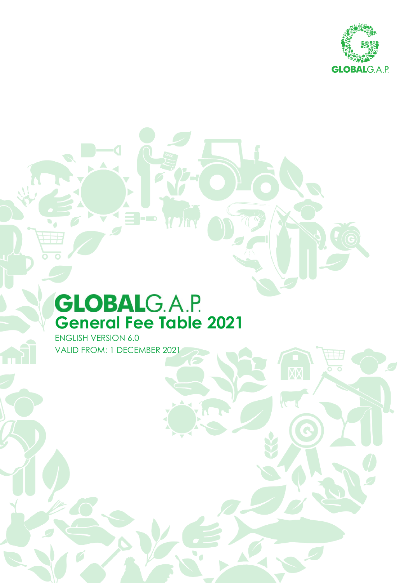

Q

# **GLOBALG.A.P. General Fee Table 2021**

3.pr

ENGLISH VERSION 6.0 VALID FROM: 1 DECEMBER 2021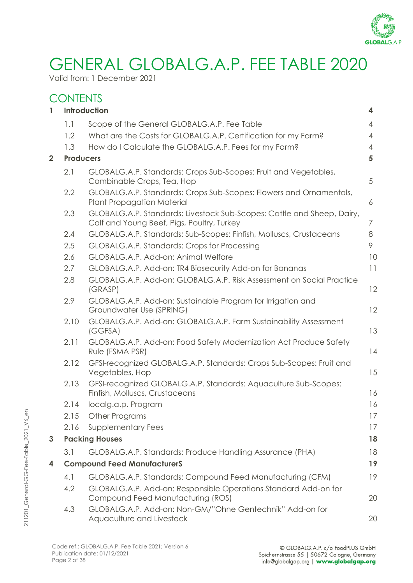

### GENERAL GLOBALG.A.P. FEE TABLE 2020

Valid from: 1 December 2021

### **CONTENTS**

| $\mathbf{1}$   |                  | Introduction                                                                                                         | 4              |
|----------------|------------------|----------------------------------------------------------------------------------------------------------------------|----------------|
|                | 1.1              | Scope of the General GLOBALG.A.P. Fee Table                                                                          | 4              |
|                | 1.2              | What are the Costs for GLOBALG.A.P. Certification for my Farm?                                                       | 4              |
|                | 1.3              | How do I Calculate the GLOBALG.A.P. Fees for my Farm?                                                                | $\overline{4}$ |
| $\overline{2}$ | <b>Producers</b> |                                                                                                                      | 5              |
|                | 2.1              | GLOBALG.A.P. Standards: Crops Sub-Scopes: Fruit and Vegetables,<br>Combinable Crops, Tea, Hop                        | 5              |
|                | 2.2              | GLOBALG.A.P. Standards: Crops Sub-Scopes: Flowers and Ornamentals,<br><b>Plant Propagation Material</b>              | 6              |
|                | 2.3              | GLOBALG.A.P. Standards: Livestock Sub-Scopes: Cattle and Sheep, Dairy,<br>Calf and Young Beef, Pigs, Poultry, Turkey | 7              |
|                | 2.4              | GLOBALG.A.P. Standards: Sub-Scopes: Finfish, Molluscs, Crustaceans                                                   | 8              |
|                | 2.5              | GLOBALG.A.P. Standards: Crops for Processing                                                                         | 9              |
|                | 2.6              | GLOBALG.A.P. Add-on: Animal Welfare                                                                                  | 10             |
|                | 2.7              | GLOBALG.A.P. Add-on: TR4 Biosecurity Add-on for Bananas                                                              | 11             |
|                | 2.8              | GLOBALG.A.P. Add-on: GLOBALG.A.P. Risk Assessment on Social Practice<br>(GRASP)                                      | 12             |
|                | 2.9              | GLOBALG.A.P. Add-on: Sustainable Program for Irrigation and<br>Groundwater Use (SPRING)                              | 12             |
|                | 2.10             | GLOBALG.A.P. Add-on: GLOBALG.A.P. Farm Sustainability Assessment<br>(GGFSA)                                          | 13             |
|                | 2.11             | GLOBALG.A.P. Add-on: Food Safety Modernization Act Produce Safety<br>Rule (FSMA PSR)                                 | 14             |
|                | 2.12             | GFSI-recognized GLOBALG.A.P. Standards: Crops Sub-Scopes: Fruit and<br>Vegetables, Hop                               | 15             |
|                | 2.13             | GFSI-recognized GLOBALG.A.P. Standards: Aquaculture Sub-Scopes:<br>Finfish, Molluscs, Crustaceans                    | 16             |
|                | 2.14             | localg.a.p. Program                                                                                                  | 16             |
|                |                  | 2.15 Other Programs                                                                                                  | 17             |
|                | 2.16             | <b>Supplementary Fees</b>                                                                                            | 17             |
| 3              |                  | <b>Packing Houses</b>                                                                                                | 18             |
|                | 3.1              | GLOBALG.A.P. Standards: Produce Handling Assurance (PHA)                                                             | 18             |
| 4              |                  | <b>Compound Feed ManufacturerS</b>                                                                                   | 19             |
|                | 4.1              | GLOBALG.A.P. Standards: Compound Feed Manufacturing (CFM)                                                            | 19             |
|                | 4.2              | GLOBALG.A.P. Add-on: Responsible Operations Standard Add-on for                                                      |                |
|                |                  | Compound Feed Manufacturing (ROS)                                                                                    | 20             |
|                | 4.3              | GLOBALG.A.P. Add-on: Non-GM/"Ohne Gentechnik" Add-on for<br>Aquaculture and Livestock                                | 20             |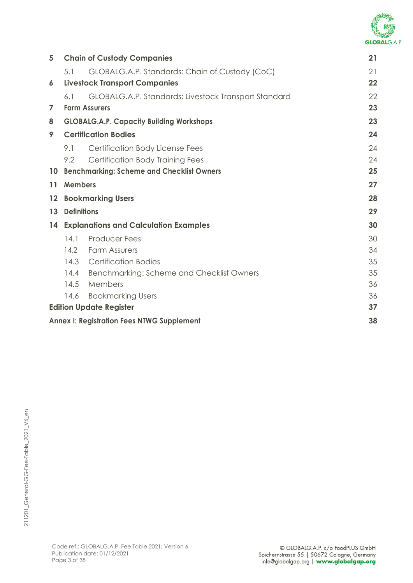

| 5  |                    | <b>Chain of Custody Companies</b>                    | 21 |
|----|--------------------|------------------------------------------------------|----|
|    | 5.1                | GLOBALG.A.P. Standards: Chain of Custody (CoC)       | 21 |
| 6  |                    | <b>Livestock Transport Companies</b>                 | 22 |
|    | 6.1                | GLOBALG.A.P. Standards: Livestock Transport Standard | 22 |
| 7  |                    | <b>Farm Assurers</b>                                 | 23 |
| 8  |                    | <b>GLOBALG.A.P. Capacity Building Workshops</b>      | 23 |
| 9  |                    | <b>Certification Bodies</b>                          | 24 |
|    | 9.1                | Certification Body License Fees                      | 24 |
|    | 9.2                | <b>Certification Body Training Fees</b>              | 24 |
| 10 |                    | <b>Benchmarking: Scheme and Checklist Owners</b>     | 25 |
| 11 | <b>Members</b>     |                                                      | 27 |
| 12 |                    | <b>Bookmarking Users</b>                             | 28 |
| 13 | <b>Definitions</b> |                                                      | 29 |
| 14 |                    | <b>Explanations and Calculation Examples</b>         | 30 |
|    | 14.1               | <b>Producer Fees</b>                                 | 30 |
|    | 14.2               | <b>Farm Assurers</b>                                 | 34 |
|    | 14.3               | <b>Certification Bodies</b>                          | 35 |
|    | 14.4               | Benchmarking: Scheme and Checklist Owners            | 35 |
|    | 14.5               | Members                                              | 36 |
|    | 14.6               | <b>Bookmarking Users</b>                             | 36 |
|    |                    | <b>Edition Update Register</b>                       | 37 |
|    |                    | <b>Annex I: Registration Fees NTWG Supplement</b>    | 38 |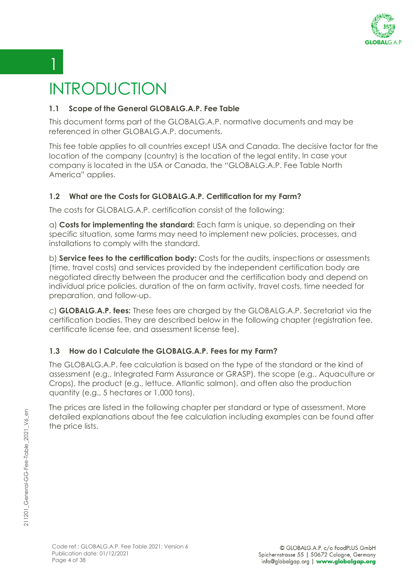

## <span id="page-3-0"></span>INTRODUCTION

 $1 \mid$ 

#### <span id="page-3-1"></span>**1.1 Scope of the General GLOBALG.A.P. Fee Table**

This document forms part of the GLOBALG.A.P. normative documents and may be referenced in other GLOBALG.A.P. documents.

This fee table applies to all countries except USA and Canada. The decisive factor for the location of the company (country) is the location of the legal entity. In case your company is located in the USA or Canada, the "GLOBALG.A.P. Fee Table North America" applies.

### <span id="page-3-2"></span>**1.2 What are the Costs for GLOBALG.A.P. Certification for my Farm?**

The costs for GLOBALG.A.P. certification consist of the following:

a) **Costs for implementing the standard:** Each farm is unique, so depending on their specific situation, some farms may need to implement new policies, processes, and installations to comply with the standard.

b) **Service fees to the certification body:** Costs for the audits, inspections or assessments (time, travel costs) and services provided by the independent certification body are negotiated directly between the producer and the certification body and depend on individual price policies, duration of the on farm activity, travel costs, time needed for preparation, and follow-up.

c) **GLOBALG.A.P. fees:** These fees are charged by the GLOBALG.A.P. Secretariat via the certification bodies. They are described below in the following chapter (registration fee, certificate license fee, and assessment license fee).

### <span id="page-3-3"></span>**1.3 How do I Calculate the GLOBALG.A.P. Fees for my Farm?**

The GLOBALG.A.P. fee calculation is based on the type of the standard or the kind of assessment (e.g., Integrated Farm Assurance or GRASP), the scope (e.g., Aquaculture or Crops), the product (e.g., lettuce, Atlantic salmon), and often also the production quantity (e.g., 5 hectares or 1,000 tons).

The prices are listed in the following chapter per standard or type of assessment. More detailed explanations about the fee calculation including examples can be found after the price lists.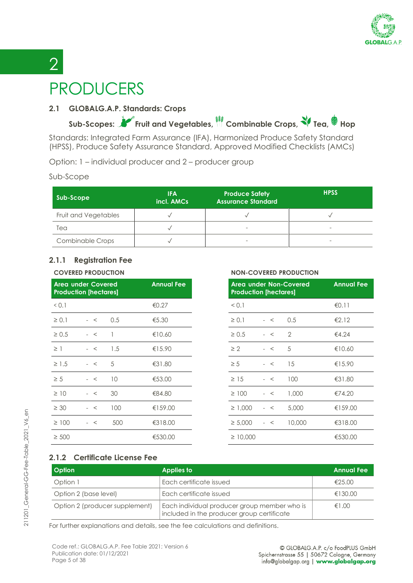

# <span id="page-4-0"></span> $2<sup>1</sup>$ PRODUCERS

#### <span id="page-4-1"></span>**2.1 GLOBALG.A.P. Standards: Crops**

**Sub-Scopes: Fruit and Vegetables, Combinable Crops, Tea, Hop**

Standards: Integrated Farm Assurance (IFA), Harmonized Produce Safety Standard (HPSS), Produce Safety Assurance Standard, Approved Modified Checklists (AMCs)

Option: 1 – individual producer and 2 – producer group

#### Sub-Scope

| Sub-Scope               | <b>IFA</b><br>incl. AMCs | <b>Produce Safety</b><br><b>Assurance Standard</b> | <b>HPSS</b>              |
|-------------------------|--------------------------|----------------------------------------------------|--------------------------|
| Fruit and Vegetables    |                          |                                                    |                          |
| Tea                     |                          |                                                    | -                        |
| <b>Combinable Crops</b> |                          | $\overline{\phantom{a}}$                           | $\overline{\phantom{a}}$ |

#### **2.1.1 Registration Fee**

|            | <b>Area under Covered</b><br><b>Production [hectares]</b> |     | <b>Annual Fee</b> | Area under Non-Covered<br><b>Production [hectares]</b> |      |                | <b>Annual</b> |
|------------|-----------------------------------------------------------|-----|-------------------|--------------------------------------------------------|------|----------------|---------------|
| 0.1        |                                                           |     | €0.27             | < 0.1                                                  |      |                | €0.11         |
| $\geq 0.1$ | $-<$                                                      | 0.5 | €5.30             | $\geq 0.1$                                             | $-<$ | 0.5            | €2.12         |
| $\geq 0.5$ | $-<$                                                      |     | €10.60            | $\geq 0.5$                                             | $-<$ | $\overline{2}$ | €4.24         |
| $\geq$ 1   | $-<$                                                      | 1.5 | €15.90            | $\geq 2$                                               | $-<$ | 5              | €10.60        |
| $\geq$ 1.5 | $-<$                                                      | 5   | €31.80            | $\geq 5$                                               | $-<$ | 15             | €15.90        |
| $\geq 5$   | $-<$                                                      | 10  | €53.00            | $\geq$ 15                                              | $-<$ | 100            | €31.80        |
| $\geq$ 10  | $-<$                                                      | 30  | €84.80            | $\geq 100$                                             | $-<$ | 1,000          | €74.20        |
| $\geq 30$  | $-<$                                                      | 100 | €159.00           | $\geq 1,000$                                           | $-<$ | 5,000          | €159.00       |
| $\geq 100$ | $-<$                                                      | 500 | €318.00           | $\geq 5,000$                                           | $-<$ | 10,000         | €318.00       |
| $\geq 500$ |                                                           |     | €530.00           | $\geq 10,000$                                          |      |                | €530.00       |

#### **COVERED PRODUCTION NON-COVERED PRODUCTION**

| <b>Annual Fee</b> | Area under Non-Covered<br><b>Production [hectares]</b> |         |                | <b>Annual Fee</b> |
|-------------------|--------------------------------------------------------|---------|----------------|-------------------|
| €0.27             | < 0.1                                                  |         |                | €0.11             |
| €5.30             | $\geq 0.1$                                             | $-<$    | 0.5            | €2.12             |
| €10.60            | $\geq 0.5$                                             | $\prec$ | $\overline{2}$ | €4.24             |
| €15.90            | $\geq 2$                                               | $-<$    | 5              | €10.60            |
| €31.80            | $\geq 5$                                               | $-<$    | 15             | €15.90            |
| €53.00            | $\geq$ 15                                              | $\prec$ | 100            | €31.80            |
| €84.80            | $\geq 100$                                             | $\prec$ | 1,000          | €74.20            |
| €159.00           | $\geq 1,000$                                           | $\prec$ | 5,000          | €159.00           |
| €318.00           | $\geq 5,000$                                           | $\prec$ | 10,000         | €318.00           |
| €530.00           | $\geq 10,000$                                          |         |                | €530.00           |

#### **2.1.2 Certificate License Fee**

| <b>Option</b>                  | Applies to                                                                                 | <b>Annual Fee</b> |
|--------------------------------|--------------------------------------------------------------------------------------------|-------------------|
| Option 1                       | Each certificate issued                                                                    | £25.00            |
| Option 2 (base level)          | Each certificate issued                                                                    | €130.00           |
| Option 2 (producer supplement) | Each individual producer group member who is<br>included in the producer group certificate | €1.00             |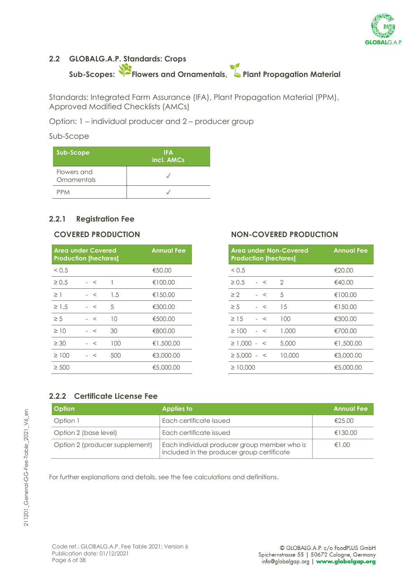

### <span id="page-5-0"></span>**2.2 GLOBALG.A.P. Standards: Crops Sub-Scopes: Flowers and Ornamentals, Plant Propagation Material**

Standards: Integrated Farm Assurance (IFA), Plant Propagation Material (PPM), Approved Modified Checklists (AMCs)

Option: 1 – individual producer and 2 – producer group

#### Sub-Scope

| Sub-Scope                  | <b>IFA</b><br>incl. AMCs |
|----------------------------|--------------------------|
| Flowers and<br>Ornamentals |                          |
| <b>PPM</b>                 |                          |

#### **2.2.1 Registration Fee**

| <b>Area under Covered</b><br><b>Production [hectares]</b> |      |     | <b>Annual Fee</b> | Area under Non-Covered<br><b>Production [hectares]</b> | <b>Annual Fe</b> |
|-----------------------------------------------------------|------|-----|-------------------|--------------------------------------------------------|------------------|
| < 0.5                                                     |      |     | €50.00            | < 0.5                                                  | €20.00           |
| $\geq 0.5$                                                | $-<$ |     | €100.00           | $\geq 0.5$<br>2<br>$-<$                                | €40.00           |
| $\geq$ 1                                                  | $-<$ | 1.5 | €150.00           | $\geq$ 2<br>5<br>$-<$                                  | €100.00          |
| $\geq$ 1.5                                                | $-<$ | 5   | €300.00           | 15<br>$\geq 5$<br>$-<$                                 | €150.00          |
| $\geq 5$                                                  | $-<$ | 10  | €500.00           | 100<br>$\geq$ 15<br>$-<$                               | €300.00          |
| $\geq 10$                                                 | $-<$ | 30  | €800.00           | 1,000<br>$\geq 100$<br>$-<$                            | €700.00          |
| $\geq 30$                                                 | $-<$ | 100 | €1,500.00         | $\geq$ 1.000 - <<br>5,000                              | €1,500.00        |
| $\geq 100$                                                | $-<$ | 500 | €3,000.00         | $\geq 5.000 - 5$<br>10,000                             | €3,000.00        |
| $\geq 500$                                                |      |     | €5,000.00         | $\geq 10,000$                                          | €5,000.00        |

#### **COVERED PRODUCTION NON-COVERED PRODUCTION**

| <b>Annual Fee</b> | Area under Non-Covered<br><b>Production [hectares]</b> |  |         | <b>Annual Fee</b> |           |
|-------------------|--------------------------------------------------------|--|---------|-------------------|-----------|
| €50.00            | < 0.5                                                  |  |         |                   | €20.00    |
| €100.00           | $\geq 0.5$                                             |  | $-<$    | $\mathcal{D}$     | €40.00    |
| €150.00           | $\geq$ 2                                               |  | $\,<\,$ | .5                | €100.00   |
| €300.00           | $\geq 5$                                               |  | $\,<\,$ | 15                | €150.00   |
| €500.00           | $\geq 15$                                              |  | $\,<\,$ | 100               | €300.00   |
| €800.00           | $\geq 100$                                             |  | $\,<\,$ | 1,000             | €700.00   |
| €1,500,00         | $\geq 1.000 -$                                         |  | $\,<\,$ | 5,000             | €1,500.00 |
| €3,000.00         | $\geq 5,000$                                           |  | $\,<\,$ | 10,000            | €3,000.00 |
| €5,000.00         | $\geq 10,000$                                          |  |         |                   | €5,000.00 |

#### **2.2.2 Certificate License Fee**

| <b>Option</b>                  | Applies to                                                                                 | <b>Annual Fee</b> |
|--------------------------------|--------------------------------------------------------------------------------------------|-------------------|
| Option 1                       | Each certificate issued                                                                    | €25.00            |
| Option 2 (base level)          | Each certificate issued                                                                    | €130.00           |
| Option 2 (producer supplement) | Each individual producer group member who is<br>included in the producer group certificate | $f \in 1.00$      |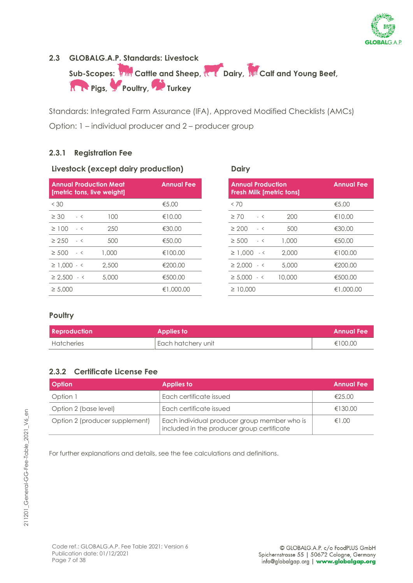

#### <span id="page-6-0"></span>**2.3 GLOBALG.A.P. Standards: Livestock**

Sub-Scopes: **The Cattle and Sheep, Cattle Dairy, All Calf and Young Beef, Reduction Prigs, Proultry, Provincial Turkey** 

Standards: Integrated Farm Assurance (IFA), Approved Modified Checklists (AMCs) Option: 1 – individual producer and 2 – producer group

#### **2.3.1 Registration Fee**

#### **Livestock (except dairy production) Dairy**

| $<$ 30<br>€5.00<br><70<br>$\geq 30$<br>100<br>$\geq 70$<br>€10.00<br>$-<$<br>$-<$<br>250<br>€30.00<br>$\geq 100$<br>$\geq 200$<br>$-<$<br>$-<$ |
|------------------------------------------------------------------------------------------------------------------------------------------------|
| 200<br>500                                                                                                                                     |
|                                                                                                                                                |
|                                                                                                                                                |
| $\geq 250$<br>500<br>$\geq 500$<br>€50.00<br>1,000<br>$-<$<br>$-<$                                                                             |
| $\geq 500$ $\sim$<br>1,000<br>€100.00<br>$\geq 1.000 - 5$<br>2,000                                                                             |
| $\geq$ 1.000 $\sim$ <<br>2,500<br>€200.00<br>$\geq 2.000 - 5$<br>5,000                                                                         |
| €500.00<br>$\geq 2.500 - c$<br>5,000<br>$\geq 5,000 - 5$<br>10,000                                                                             |
| €1,000.00<br>$\geq 5,000$<br>$\geq 10,000$                                                                                                     |

| <b>Annual Fee</b> | <b>Annual Production</b><br><b>Fresh Milk [metric tons]</b> | <b>Annual Fee</b> |
|-------------------|-------------------------------------------------------------|-------------------|
| €5.00             | <70                                                         | €5.00             |
| €10.00            | $\geq 70$<br>200<br>$-<$                                    | €10.00            |
| €30.00            | $\geq 200$<br>500<br>$-<$                                   | €30.00            |
| €50.00            | 1,000<br>$\geq 500$<br>$-<$                                 | €50.00            |
| €100.00           | $\geq$ 1,000 $\leq$<br>2,000                                | €100.00           |
| €200.00           | $\geq 2.000 - 5$<br>5,000                                   | €200.00           |
| €500.00           | $\geq 5.000 - c$<br>10,000                                  | €500.00           |
| €1,000.00         | $\geq 10,000$                                               | €1,000.00         |
|                   |                                                             |                   |

#### **Poultry**

| <b>Reproduction</b> | Applies to         | <b>Annual Fee</b> |
|---------------------|--------------------|-------------------|
| Hatcheries          | Each hatchery unit | €100.00           |

#### **2.3.2 Certificate License Fee**

| <b>Option</b>                  | <b>Applies to</b>                                                                          | <b>Annual Fee</b> |
|--------------------------------|--------------------------------------------------------------------------------------------|-------------------|
| Option 1                       | Each certificate issued                                                                    | €25.00            |
| Option 2 (base level)          | Each certificate issued                                                                    | €130.00           |
| Option 2 (producer supplement) | Each individual producer group member who is<br>included in the producer group certificate | €1.00             |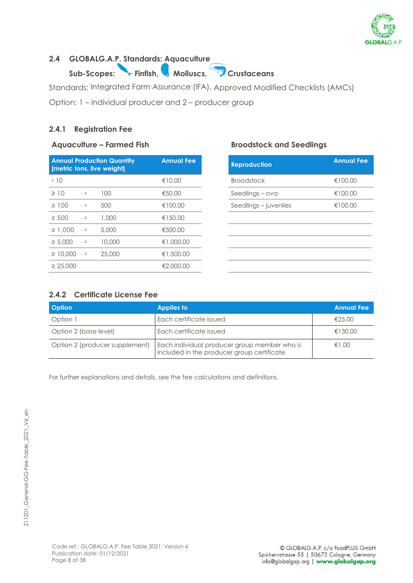

### <span id="page-7-0"></span>**2.4 GLOBALG.A.P. Standards: Aquaculture**

**Sub-Scopes: Finfish, Molluscs, Crustaceans**

Standards: Integrated Farm Assurance (IFA), Approved Modified Checklists (AMCs)

Option: 1 – individual producer and 2 – producer group

#### **2.4.1 Registration Fee**

#### **Aquaculture – Farmed Fish Broodstock and Seedlings**

|                      |      | <b>Annual Production Quantity</b><br>[metric tons, live weight] | <b>Annual Fee</b> | <b>Reproduction</b>   | <b>Annual</b> |
|----------------------|------|-----------------------------------------------------------------|-------------------|-----------------------|---------------|
| < 10                 |      |                                                                 | €10.00            | <b>Broodstock</b>     | €100.00       |
| $\geq$ 10            | $-<$ | 100                                                             | €50.00            | Seedlings - ova       | €100.00       |
| $\geq 100$           | $-<$ | 500                                                             | €100.00           | Seedlings – juveniles | €100.00       |
| $\geq 500$           | $-<$ | 1,000                                                           | €150.00           |                       |               |
| $\geq 1.000$         | $-<$ | 5,000                                                           | €500.00           |                       |               |
| $\geq 5.000$         | $-<$ | 10,000                                                          | €1,000.00         |                       |               |
| $\geq$ 10,000 $\sim$ |      | 25.000                                                          | €1,500.00         |                       |               |
| $\geq 25,000$        |      |                                                                 | €2,000.00         |                       |               |

| <b>Annual Fee</b> | <b>Reproduction</b>   | <b>Annual Fee</b> |
|-------------------|-----------------------|-------------------|
| €10.00            | <b>Broodstock</b>     | €100.00           |
| €50.00            | Seedlings – ova       | €100.00           |
| €100.00           | Seedlings – juveniles | €100.00           |
| €150.00           |                       |                   |
| €500.00           |                       |                   |
| €1,000.00         |                       |                   |
| €1,500.00         |                       |                   |
| €2,000.00         |                       |                   |

#### **2.4.2 Certificate License Fee**

| <b>Option</b>                  | <b>Applies to</b>                                                                          | <b>Annual Fee</b> |
|--------------------------------|--------------------------------------------------------------------------------------------|-------------------|
| Option 1                       | Each certificate issued                                                                    | £25.00            |
| Option 2 (base level)          | Each certificate issued                                                                    | €130.00           |
| Option 2 (producer supplement) | Each individual producer group member who is<br>included in the producer group certificate | €1.00             |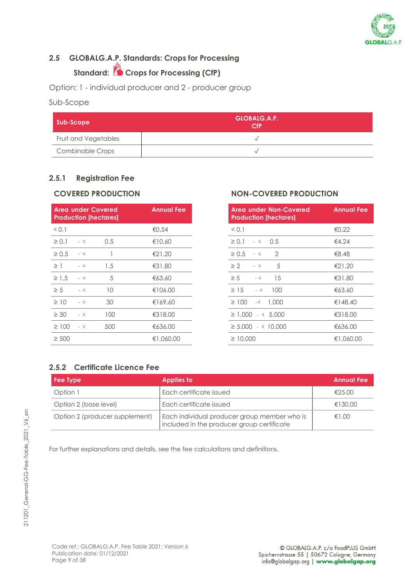

### <span id="page-8-0"></span>**2.5 GLOBALG.A.P. Standards: Crops for Processing**

### **Standard: Crops for Processing (CfP)**

Option: 1 - individual producer and 2 - producer group

#### Sub-Scope

| Sub-Scope            | GLOBALG.A.P.<br>CF |
|----------------------|--------------------|
| Fruit and Vegetables |                    |
| Combinable Crops     |                    |

#### **2.5.1 Registration Fee**

|            |      | <b>Area under Covered</b><br><b>Production [hectares]</b> | <b>Annual Fee</b> | <b>Area under Non-Covered</b><br><b>Production [hectares]</b> | <b>Annual Fe</b> |
|------------|------|-----------------------------------------------------------|-------------------|---------------------------------------------------------------|------------------|
| 0.1        |      |                                                           | €0.54             | < 0.1                                                         | €0.22            |
| $\geq 0.1$ | $-<$ | 0.5                                                       | €10.60            | $\geq 0.1$<br>$-5$ 0.5                                        | €4.24            |
| $\geq 0.5$ | $-<$ |                                                           | €21.20            | $\mathcal{D}$<br>$\geq 0.5 - 5$                               | €8.48            |
| $\geq$ 1   | $-<$ | 1.5                                                       | €31.80            | $\geq$ 2<br>5<br>$-<$                                         | €21.20           |
| $\geq 1.5$ | $-<$ | 5                                                         | €63.60            | $\geq 5$<br>15<br>$-<$                                        | €31.80           |
| $\geq 5$   | $-<$ | 10                                                        | €106.00           | $\geq 15$<br>100<br>$-<$                                      | €63.60           |
| $\geq$ 10  | $-<$ | 30                                                        | €169.60           | $\geq 100$<br>$-5$ 1.000                                      | €148.40          |
| $\geq 30$  | $-<$ | 100                                                       | €318.00           | $\geq 1.000$ $\cdot$ < 5.000                                  | €318.00          |
| $\geq 100$ | $-<$ | 500                                                       | €636.00           | $\geq 5.000$ $\cdot$ < 10.000                                 | €636.00          |
| $\geq 500$ |      |                                                           | €1,060.00         | $\geq 10,000$                                                 | €1,060.00        |

#### **COVERED PRODUCTION NON-COVERED PRODUCTION**

| <b>Annual Fee</b> | Area under Non-Covered<br><b>Production [hectares]</b> | <b>Annual Fee</b> |
|-------------------|--------------------------------------------------------|-------------------|
| €0.54             | < 0.1                                                  | €0.22             |
| €10.60            | $\geq 0.1$ $\leq 0.5$                                  | €4.24             |
| €21.20            | $\overline{2}$<br>$\geq 0.5$<br>$-<$                   | €8.48             |
| €31.80            | .5<br>$\geq 2$<br>$-<$                                 | €21.20            |
| €63.60            | 15<br>$\geq 5$<br>$-<$                                 | €31.80            |
| €106.00           | $\geq$ 15<br>100<br>$-<$                               | €63.60            |
| €169.60           | $\geq 100$<br>$-5$ 1.000                               | €148.40           |
| €318.00           | $\geq 1.000$ $\leq 5.000$                              | €318.00           |
| €636.00           | $\geq 5.000$ $\cdot$ < 10.000                          | €636.00           |
| €1,060.00         | $\geq 10,000$                                          | €1,060.00         |

#### **2.5.2 Certificate Licence Fee**

| Fee Type                       | <b>Applies to</b>                                                                          | <b>Annual Fee</b> |
|--------------------------------|--------------------------------------------------------------------------------------------|-------------------|
| Option 1                       | Each certificate issued                                                                    | €25.00            |
| Option 2 (base level)          | Each certificate issued                                                                    | €130.00           |
| Option 2 (producer supplement) | Each individual producer group member who is<br>included in the producer group certificate | €1.00             |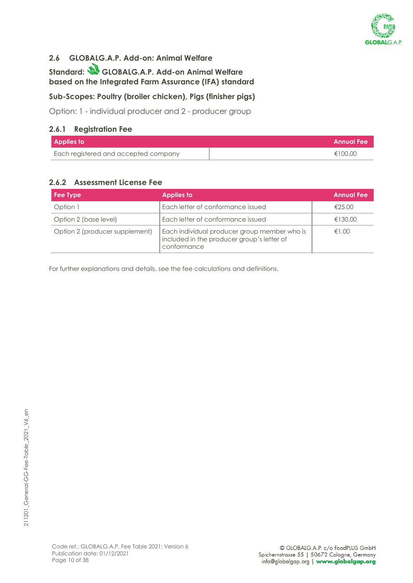

#### <span id="page-9-0"></span>**2.6 GLOBALG.A.P. Add-on: Animal Welfare**

**Standard: GLOBALG.A.P. Add-on Animal Welfare based on the Integrated Farm Assurance (IFA) standard**

#### **Sub-Scopes: Poultry (broiler chicken), Pigs (finisher pigs)**

Option: 1 - individual producer and 2 - producer group

#### **2.6.1 Registration Fee**

| Applies to                           | Annual Fee |
|--------------------------------------|------------|
| Each registered and accepted company | €100.00    |

#### **2.6.2 Assessment License Fee**

| Fee Type                       | <b>Applies to</b>                                                                                         | <b>Annual Fee</b> |
|--------------------------------|-----------------------------------------------------------------------------------------------------------|-------------------|
| Option 1                       | Each letter of conformance issued                                                                         | €25.00            |
| Option 2 (base level)          | Each letter of conformance issued                                                                         | €130.00           |
| Option 2 (producer supplement) | Each individual producer group member who is<br>included in the producer group's letter of<br>conformance | €1.00             |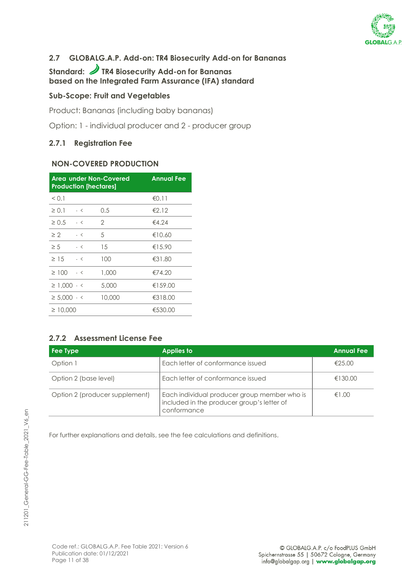

### <span id="page-10-0"></span>**2.7 GLOBALG.A.P. Add-on: TR4 Biosecurity Add-on for Bananas**

### Standard: **J** TR4 Biosecurity Add-on for Bananas **based on the Integrated Farm Assurance (IFA) standard**

#### **Sub-Scope: Fruit and Vegetables**

Product: Bananas (including baby bananas)

Option: 1 - individual producer and 2 - producer group

#### **2.7.1 Registration Fee**

#### **NON-COVERED PRODUCTION**

|                       | <b>Production [hectares]</b> | <b>Area under Non-Covered</b> | <b>Annual Fee</b> |
|-----------------------|------------------------------|-------------------------------|-------------------|
| < 0.1                 |                              |                               | €0.11             |
| $\geq 0.1$            | $-<$                         | $0.5\,$                       | €2.12             |
| $\geq 0.5$            | $-<$                         | 2                             | €4.24             |
| $\geq 2$              | $-<$                         | .5                            | €10.60            |
| $\geq 5$              | $-<$                         | 15                            | €15.90            |
| $\geq 1.5$            | $ \lt$                       | 100                           | €31.80            |
| $\geq 100$            | $-<$                         | 1,000                         | €74.20            |
| $\geq$ 1.000 $\sim$ < |                              | 5,000                         | €159.00           |
| $\geq 5.000 - 5$      |                              | 10,000                        | €318.00           |
| $\geq 10,000$         |                              |                               | €530.00           |

#### **2.7.2 Assessment License Fee**

| Fee Type                       | <b>Applies to</b>                                                                                         | <b>Annual Fee</b> |
|--------------------------------|-----------------------------------------------------------------------------------------------------------|-------------------|
| Option 1                       | Each letter of conformance issued                                                                         | €25.00            |
| Option 2 (base level)          | Each letter of conformance issued                                                                         | €130.00           |
| Option 2 (producer supplement) | Each individual producer group member who is<br>included in the producer group's letter of<br>conformance | €1.00             |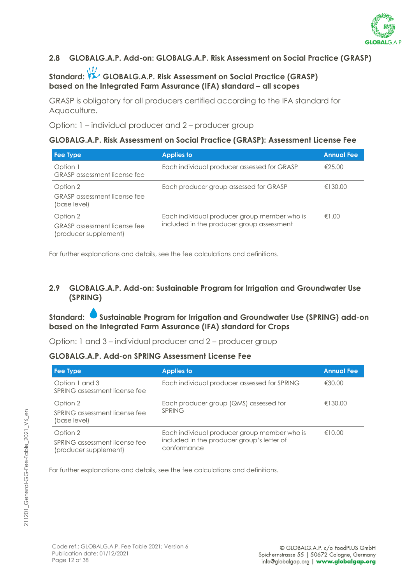

#### <span id="page-11-0"></span>**2.8 GLOBALG.A.P. Add-on: GLOBALG.A.P. Risk Assessment on Social Practice (GRASP)**

### Standard: **GLOBALG.A.P. Risk Assessment on Social Practice (GRASP) based on the Integrated Farm Assurance (IFA) standard – all scopes**

GRASP is obligatory for all producers certified according to the IFA standard for Aquaculture.

Option: 1 – individual producer and 2 – producer group

#### **GLOBALG.A.P. Risk Assessment on Social Practice (GRASP): Assessment License Fee**

| Fee Type                                                                 | <b>Applies to</b>                                                                         | <b>Annual Fee</b> |
|--------------------------------------------------------------------------|-------------------------------------------------------------------------------------------|-------------------|
| Option 1<br><b>GRASP</b> assessment license fee                          | Each individual producer assessed for GRASP                                               | €25.00            |
| Option 2<br><b>GRASP</b> assessment license fee<br>(base level)          | Each producer group assessed for GRASP                                                    | €130.00           |
| Option 2<br><b>GRASP</b> assessment license fee<br>(producer supplement) | Each individual producer group member who is<br>included in the producer group assessment | €1.00             |

For further explanations and details, see the fee calculations and definitions.

#### <span id="page-11-1"></span>**2.9 GLOBALG.A.P. Add-on: Sustainable Program for Irrigation and Groundwater Use (SPRING)**

**Standard: Sustainable Program for Irrigation and Groundwater Use (SPRING) add-on based on the Integrated Farm Assurance (IFA) standard for Crops**

Option: 1 and 3 – individual producer and 2 – producer group

#### **GLOBALG.A.P. Add-on SPRING Assessment License Fee**

| Fee Type                                                           | <b>Applies to</b>                                                                                         | <b>Annual Fee</b> |
|--------------------------------------------------------------------|-----------------------------------------------------------------------------------------------------------|-------------------|
| Option 1 and 3<br>SPRING assessment license fee                    | Each individual producer assessed for SPRING                                                              | €30.00            |
| Option 2<br>SPRING assessment license fee<br>(base level)          | Each producer group (QMS) assessed for<br><b>SPRING</b>                                                   | €130.00           |
| Option 2<br>SPRING assessment license fee<br>(producer supplement) | Each individual producer group member who is<br>included in the producer group's letter of<br>conformance | €10.00            |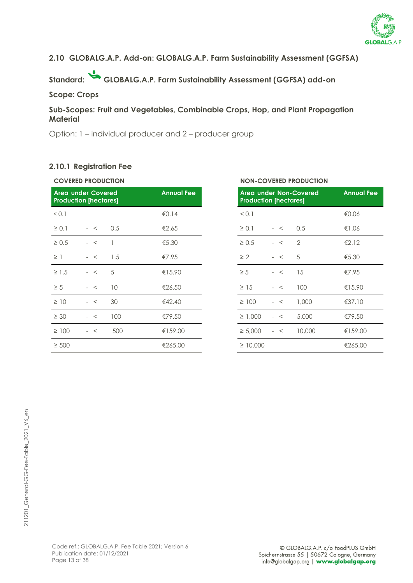

#### <span id="page-12-0"></span>**2.10 GLOBALG.A.P. Add-on: GLOBALG.A.P. Farm Sustainability Assessment (GGFSA)**

**Standard: GLOBALG.A.P. Farm Sustainability Assessment (GGFSA) add-on**

#### **Scope: Crops**

#### **Sub-Scopes: Fruit and Vegetables, Combinable Crops, Hop, and Plant Propagation Material**

Option: 1 – individual producer and 2 – producer group

#### **2.10.1 Registration Fee**

| <b>COVERED PRODUCTION</b> |                                                           |     |                   | <b>NON-COVERED PRODUCTION</b>                          |               |
|---------------------------|-----------------------------------------------------------|-----|-------------------|--------------------------------------------------------|---------------|
|                           | <b>Area under Covered</b><br><b>Production [hectares]</b> |     | <b>Annual Fee</b> | Area under Non-Covered<br><b>Production [hectares]</b> | <b>Annual</b> |
| 0.1                       |                                                           |     | €0.14             | < 0.1                                                  | €0.06         |
| $\geq 0.1$                | $-<$                                                      | 0.5 | €2.65             | $\geq 0.1$<br>0.5<br>$-<$                              | €1.06         |
| $\geq 0.5$                | $-<$                                                      | -1  | € $5.30$          | $\geq 0.5$<br>$\overline{2}$<br>$-<$                   | €2.12         |
| $\geq$ 1                  | $-<$                                                      | 1.5 | €7.95             | $\geq 2$<br>5<br>$-<$                                  | €5.30         |
| $\geq$ 1.5                | $-<$                                                      | 5   | €15.90            | 15<br>$\geq 5$<br>$-<$                                 | €7.95         |
| $\geq 5$                  | $-<$                                                      | 10  | €26.50            | 100<br>$\geq$ 15<br>$-<$                               | €15.90        |
| $\geq$ 10                 | $-<$                                                      | 30  | €42.40            | 1,000<br>$\geq 100$<br>$-<$                            | €37.10        |
| $\geq 30$                 | $-<$                                                      | 100 | €79.50            | $\geq 1,000$<br>5,000<br>$-<$                          | €79.50        |
| $\geq 100$                | $-<$                                                      | 500 | €159.00           | 10,000<br>$\geq 5,000$<br>$-<$                         | €159.00       |
| $\geq 500$                |                                                           |     | €265.00           | $\geq 10,000$                                          | €265.00       |
|                           |                                                           |     |                   |                                                        |               |

#### **COVERED PRODUCTION NON-COVERED PRODUCTION**

| <b>Annual Fee</b> |               | Area under Non-Covered<br><b>Production [hectares]</b> |        |          |  |
|-------------------|---------------|--------------------------------------------------------|--------|----------|--|
| €0.14             | < 0.1         |                                                        |        | €0.06    |  |
| €2.65             | $\geq 0.1$    | $-<$                                                   | 0.5    | €1.06    |  |
| €5.30             | $\geq 0.5$    | $\prec$                                                | 2      | €2.12    |  |
| €7.95             | $\geq 2$      | $-<$                                                   | 5      | € $5.30$ |  |
| €15.90            | $\geq 5$      | $-<$                                                   | 15     | €7.95    |  |
| €26.50            | $\geq$ 15     | $\,<\,$                                                | 100    | €15.90   |  |
| €42.40            | $\geq 100$    | $\prec$                                                | 1,000  | €37.10   |  |
| €79.50            | $\geq 1,000$  | $\lt$                                                  | 5,000  | €79.50   |  |
| €159.00           | $\geq 5,000$  | $\prec$                                                | 10,000 | €159.00  |  |
| €265.00           | $\geq 10,000$ |                                                        |        | €265.00  |  |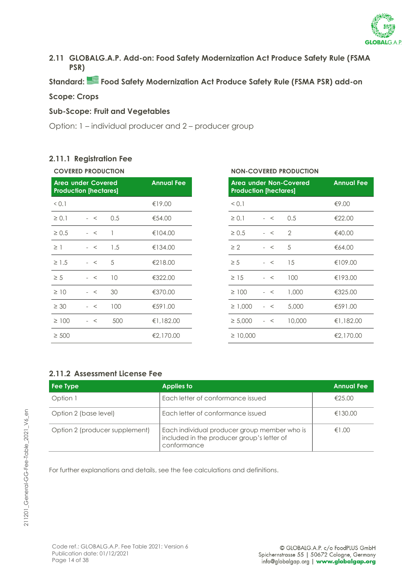

<span id="page-13-0"></span>**2.11 GLOBALG.A.P. Add-on: Food Safety Modernization Act Produce Safety Rule (FSMA PSR)**

**Standard: Food Safety Modernization Act Produce Safety Rule (FSMA PSR) add-on**

#### **Scope: Crops**

#### **Sub-Scope: Fruit and Vegetables**

Option: 1 – individual producer and 2 – producer group

#### **2.11.1 Registration Fee**

| <b>COVERED PRODUCTION</b> |
|---------------------------|
|                           |

|            | <b>Area under Covered</b><br><b>Production [hectares]</b> |     | <b>Annual Fee</b> |               | <b>Area under Non-Covered</b><br><b>Production [hectares]</b> |               |           |
|------------|-----------------------------------------------------------|-----|-------------------|---------------|---------------------------------------------------------------|---------------|-----------|
| 0.1        |                                                           |     | €19.00            | < 0.1         |                                                               |               | €9.00     |
| $\geq 0.1$ | $-<$                                                      | 0.5 | €54.00            | $\geq 0.1$    | $-<$                                                          | 0.5           | €22.00    |
| $\geq 0.5$ | $-<$                                                      |     | €104.00           | $\geq 0.5$    | $-<$                                                          | $\mathcal{P}$ | €40.00    |
| $\geq$ 1   | $-<$                                                      | 1.5 | €134.00           | $\geq 2$      | $-<$                                                          | 5             | €64.00    |
| $\geq 1.5$ | $-<$                                                      | 5   | €218.00           | $\geq 5$      | $-<$                                                          | 15            | €109.00   |
| $\geq 5$   | $-<$                                                      | 10  | €322.00           | $\geq$ 15     | $-<$                                                          | 100           | €193.00   |
| $\geq$ 10  | $-<$                                                      | 30  | €370.00           | $\geq 100$    | $-<$                                                          | 1,000         | €325.00   |
| $\geq 30$  | $-<$                                                      | 100 | €591.00           | $\geq 1.000$  | $-<$                                                          | 5,000         | €591.00   |
| $\geq 100$ | $-<$                                                      | 500 | €1,182.00         | $\geq 5,000$  | $-<$                                                          | 10,000        | €1,182.00 |
| $\geq 500$ |                                                           |     | €2,170.00         | $\geq 10,000$ |                                                               |               | €2,170.00 |

#### **COVERED PRODUCTION NON-COVERED PRODUCTION**

| <b>Annual Fee</b> | Area under Non-Covered<br><b>Production [hectares]</b> | <b>Annual Fee</b> |        |           |
|-------------------|--------------------------------------------------------|-------------------|--------|-----------|
| €19.00            | < 0.1                                                  |                   |        | €9.00     |
| €54.00            | $\geq 0.1$                                             | $-<$              | 0.5    | €22.00    |
| €104.00           | $\geq 0.5$                                             | $\prec$           | 2      | €40.00    |
| €134.00           | $\geq 2$                                               | $-<$              | 5      | €64.00    |
| €218.00           | $\geq 5$                                               | $-<$              | 15     | €109.00   |
| €322.00           | $\geq$ 15                                              | $\prec$           | 100    | €193.00   |
| €370.00           | $\geq 100$                                             | $\lt$             | 1,000  | €325.00   |
| €591.00           | $\geq 1,000$                                           | $\prec$           | 5,000  | €591.00   |
| €1,182.00         | $\geq 5,000$                                           | $\prec$           | 10,000 | €1,182.00 |
| €2,170.00         | $\geq 10,000$                                          |                   |        | €2,170.00 |

#### **2.11.2 Assessment License Fee**

| <b>Fee Type</b>                | <b>Applies to</b>                                                                                         | <b>Annual Fee</b> |
|--------------------------------|-----------------------------------------------------------------------------------------------------------|-------------------|
| Option 1                       | Each letter of conformance issued                                                                         | €25.00            |
| Option 2 (base level)          | Each letter of conformance issued                                                                         | €130.00           |
| Option 2 (producer supplement) | Each individual producer group member who is<br>included in the producer group's letter of<br>conformance | €1.00             |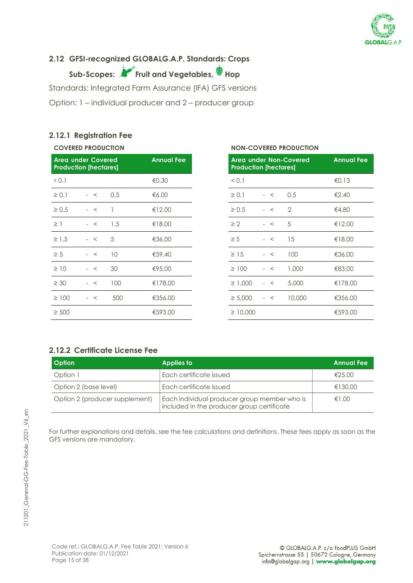

#### <span id="page-14-0"></span>**2.12 GFSI-recognized GLOBALG.A.P. Standards: Crops**

**Sub-Scopes: Fruit and Vegetables, Hop**

Standards: Integrated Farm Assurance (IFA) GFS versions

Option: 1 – individual producer and 2 – producer group

#### **2.12.1 Registration Fee**

|            | <b>COVERED PRODUCTION</b>                                 |     |                   |            | <b>NON-COVERED PRODUCTION</b>                                 |      |                |               |
|------------|-----------------------------------------------------------|-----|-------------------|------------|---------------------------------------------------------------|------|----------------|---------------|
|            | <b>Area under Covered</b><br><b>Production [hectares]</b> |     | <b>Annual Fee</b> |            | <b>Area under Non-Covered</b><br><b>Production [hectares]</b> |      |                | <b>Annual</b> |
| 0.1        |                                                           |     | € $0.30$          | < 0.1      |                                                               |      |                | €0.13         |
| $\geq 0.1$ | $-<$                                                      | 0.5 | €6.00             | $\geq 0.1$ |                                                               | $-<$ | 0.5            | €2.40         |
| $\geq 0.5$ | $-<$                                                      |     | €12.00            | $\geq 0.5$ |                                                               | $-<$ | $\overline{2}$ | €4.80         |
| $\geq$ 1   | $-<$                                                      | 1.5 | €18.00            | $\geq 2$   |                                                               | $-<$ | 5              | €12.00        |
| $\geq$ 1.5 | $-<$                                                      | 5   | €36.00            | $\geq 5$   |                                                               | $-<$ | 15             | €18.00        |
| $\geq 5$   | $-<$                                                      | 10  | €59.40            | $\geq 15$  |                                                               | $-<$ | 100            | €36.00        |
| $\geq$ 10  | $-<$                                                      | 30  | €95.00            |            | $\geq 100$                                                    | $-<$ | 1,000          | €83.00        |
| $\geq 30$  | $-<$                                                      | 100 | €178.00           |            | $\geq 1,000$                                                  | $-<$ | 5,000          | €178.00       |
| $\geq 100$ | $-<$                                                      | 500 | €356.00           |            | $\geq 5,000$                                                  | $-<$ | 10,000         | €356.00       |
| $\geq 500$ |                                                           |     | €593.00           |            | $\geq 10,000$                                                 |      |                | €593.00       |
|            |                                                           |     |                   |            |                                                               |      |                |               |

|               |                                     | <b>Annual Fee</b> |                                                               |
|---------------|-------------------------------------|-------------------|---------------------------------------------------------------|
| < 0.1         |                                     |                   | €0.13                                                         |
| $\geq 0.1$    | $-<$                                | 0.5               | €2.40                                                         |
| $\geq 0.5$    | $-<$                                | $\overline{2}$    | €4.80                                                         |
| $\geq 2$      | $-<$                                | 5                 | €12.00                                                        |
| $\geq 5$      | $-<$                                | 15                | €18.00                                                        |
| $\geq$ 15     | $\prec$                             | 100               | €36.00                                                        |
| $\geq 100$    | $\prec$                             | 1,000             | €83.00                                                        |
| $\geq 1,000$  | $\prec$                             | 5,000             | €178.00                                                       |
| $\geq 5,000$  | $\prec$<br>$\overline{\phantom{a}}$ | 10,000            | €356.00                                                       |
| $\geq 10,000$ |                                     |                   | €593.00                                                       |
|               |                                     |                   | <b>Area under Non-Covered</b><br><b>Production [hectares]</b> |

#### **2.12.2 Certificate License Fee**

| <b>Option</b>                  | <b>Applies to</b>                                                                          | <b>Annual Fee</b> |
|--------------------------------|--------------------------------------------------------------------------------------------|-------------------|
| Option 1                       | Each certificate issued                                                                    | £25.00            |
| Option 2 (base level)          | Each certificate issued                                                                    | €130.00           |
| Option 2 (producer supplement) | Each individual producer group member who is<br>included in the producer group certificate | €1.00             |

For further explanations and details, see the fee calculations and definitions. These fees apply as soon as the GFS versions are mandatory.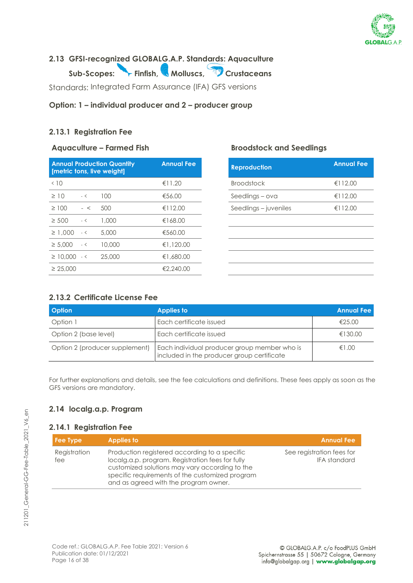

### <span id="page-15-0"></span>**2.13 GFSI-recognized GLOBALG.A.P. Standards: Aquaculture**

Sub-Scopes: Finfish, Molluscs, Crustaceans

Standards: Integrated Farm Assurance (IFA) GFS versions

#### **Option: 1 – individual producer and 2 – producer group**

#### **2.13.1 Registration Fee**

#### **Aquaculture – Farmed Fish Broodstock and Seedlings**

| <b>Annual Production Quantity</b><br>[metric tons, live weight] |      | <b>Annual Fee</b> |           |
|-----------------------------------------------------------------|------|-------------------|-----------|
| < 10                                                            |      |                   | €11.20    |
| $\geq$ 10                                                       | $-<$ | 100               | €56.00    |
| $\geq 100$                                                      | $-<$ | 500               | €112.00   |
| $\geq 500$                                                      | $-<$ | 1.000             | €168.00   |
| $\geq 1.000 - 5$                                                |      | 5.000             | €560.00   |
| $\geq 5.000 - 5$                                                |      | 10,000            | €1,120.00 |
| $\geq$ 10,000 $\leq$                                            |      | 25,000            | €1,680.00 |
| $\geq 25,000$                                                   |      |                   | €2,240.00 |

| <b>Annual Fee</b> | <b>Reproduction</b>   | <b>Annual Fee</b> |
|-------------------|-----------------------|-------------------|
| €11.20            | <b>Broodstock</b>     | €112.00           |
| €56.00            | Seedlings – ova       | €112.00           |
| €112.00           | Seedlings – juveniles | €112.00           |
| €168.00           |                       |                   |
| €560.00           |                       |                   |
| €1,120.00         |                       |                   |
| €1,680.00         |                       |                   |
| €2,240.00         |                       |                   |

#### **2.13.2 Certificate License Fee**

| <b>Option</b>                  | <b>Applies to</b>                                                                          | <b>Annual Fee</b> |
|--------------------------------|--------------------------------------------------------------------------------------------|-------------------|
| Option 1                       | Each certificate issued                                                                    | €25.00            |
| Option 2 (base level)          | Each certificate issued                                                                    | €130.00           |
| Option 2 (producer supplement) | Each individual producer group member who is<br>included in the producer group certificate | €1.00             |

For further explanations and details, see the fee calculations and definitions. These fees apply as soon as the GFS versions are mandatory.

#### <span id="page-15-1"></span>**2.14 localg.a.p. Program**

#### **2.14.1 Registration Fee**

| Fee Type            | <b>Applies to</b>                                                                                                                                                                                                                               | <b>Annual Fee</b>                                |
|---------------------|-------------------------------------------------------------------------------------------------------------------------------------------------------------------------------------------------------------------------------------------------|--------------------------------------------------|
| Registration<br>fee | Production registered according to a specific<br>localg.a.p. program. Registration fees for fully<br>customized solutions may vary according to the<br>specific requirements of the customized program<br>and as agreed with the program owner. | See registration fees for<br><b>IFA</b> standard |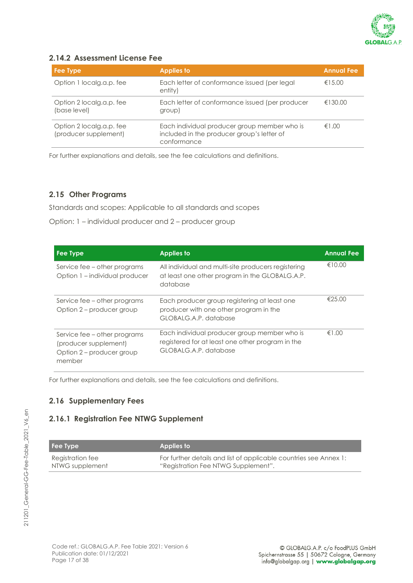

#### **2.14.2 Assessment License Fee**

| Fee Type                                          | <b>Applies to</b>                                                                                         | <b>Annual Fee</b> |
|---------------------------------------------------|-----------------------------------------------------------------------------------------------------------|-------------------|
| Option 1 localg.a.p. fee                          | Each letter of conformance issued (per legal<br>entity)                                                   | €15.00            |
| Option 2 localg.a.p. fee<br>(base level)          | Each letter of conformance issued (per producer<br>group)                                                 | €130.00           |
| Option 2 localg.a.p. fee<br>(producer supplement) | Each individual producer group member who is<br>included in the producer group's letter of<br>conformance | €1.00             |

For further explanations and details, see the fee calculations and definitions.

#### <span id="page-16-0"></span>**2.15 Other Programs**

Standards and scopes: Applicable to all standards and scopes

Option: 1 – individual producer and 2 – producer group

| Fee Type                                                                                     | <b>Applies to</b>                                                                                                         | <b>Annual Fee</b> |
|----------------------------------------------------------------------------------------------|---------------------------------------------------------------------------------------------------------------------------|-------------------|
| Service fee – other programs<br>Option 1 – individual producer                               | All individual and multi-site producers registering<br>at least one other program in the GLOBALG.A.P.<br>database         | €10.00            |
| Service fee – other programs<br>Option 2 – producer group                                    | Each producer group registering at least one<br>producer with one other program in the<br>GLOBALG.A.P. database           | €25.00            |
| Service fee – other programs<br>(producer supplement)<br>Option 2 - producer group<br>member | Each individual producer group member who is<br>registered for at least one other program in the<br>GLOBALG.A.P. database | €1.00             |

<span id="page-16-1"></span>For further explanations and details, see the fee calculations and definitions.

#### **2.16 Supplementary Fees**

#### **2.16.1 Registration Fee NTWG Supplement**

| <b>Fee Type</b>  | Applies to                                                        |
|------------------|-------------------------------------------------------------------|
| Registration fee | For further details and list of applicable countries see Annex 1: |
| NTWG supplement  | "Registration Fee NTWG Supplement".                               |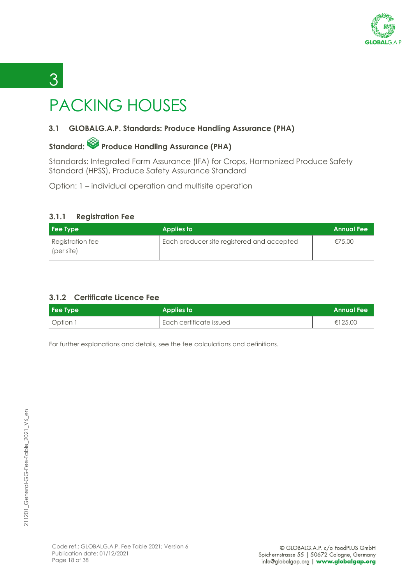

# <span id="page-17-0"></span>PACKING HOUSES

### <span id="page-17-1"></span>**3.1 GLOBALG.A.P. Standards: Produce Handling Assurance (PHA)**

### Standard: **Produce Handling Assurance (PHA)**

Standards: Integrated Farm Assurance (IFA) for Crops, Harmonized Produce Safety Standard (HPSS), Produce Safety Assurance Standard

Option: 1 – individual operation and multisite operation

#### **3.1.1 Registration Fee**

3 3

| <b>Fee Type</b>                | <b>Applies to</b>                          | <b>Annual Fee</b> |
|--------------------------------|--------------------------------------------|-------------------|
| Registration fee<br>(per site) | Each producer site registered and accepted | €75.00            |

#### **3.1.2 Certificate Licence Fee**

| Fee Type | Applies to              | <b>Annual Fee</b> |
|----------|-------------------------|-------------------|
| Option 1 | Each certificate issued | €125.00           |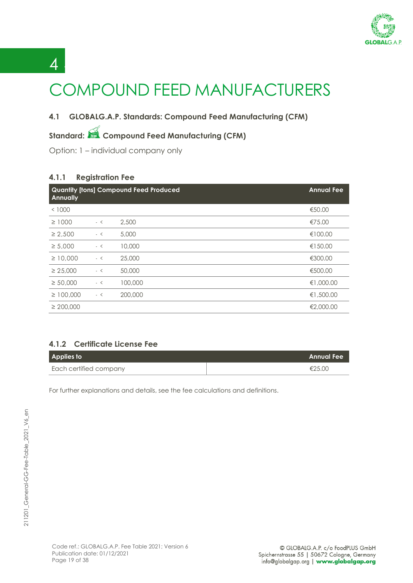

# <span id="page-18-0"></span>COMPOUND FEED MANUFACTURERS

#### <span id="page-18-1"></span>**4.1 GLOBALG.A.P. Standards: Compound Feed Manufacturing (CFM)**

### **Standard: Compound Feed Manufacturing (CFM)**

Option: 1 – individual company only

#### **4.1.1 Registration Fee**

 $\overline{A}$ 

| <b>Annually</b> |      | <b>Quantity [tons] Compound Feed Produced</b> | <b>Annual Fee</b> |
|-----------------|------|-----------------------------------------------|-------------------|
| < 1000          |      |                                               | €50.00            |
| $\geq 1000$     | $-<$ | 2,500                                         | €75.00            |
| $\geq 2.500$    | $-<$ | 5,000                                         | €100.00           |
| $\geq 5,000$    | $-<$ | 10,000                                        | €150.00           |
| $\geq 10,000$   | $-<$ | 25,000                                        | €300.00           |
| $\geq 25,000$   | - <  | 50,000                                        | €500.00           |
| $\geq 50,000$   | $-<$ | 100,000                                       | €1,000.00         |
| $\geq 100,000$  | $-<$ | 200,000                                       | €1,500.00         |
| $\geq 200,000$  |      |                                               | €2,000.00         |

#### **4.1.2 Certificate License Fee**

| Applies to             | <b>Annual Fee</b> |
|------------------------|-------------------|
| Each certified company | €25.00            |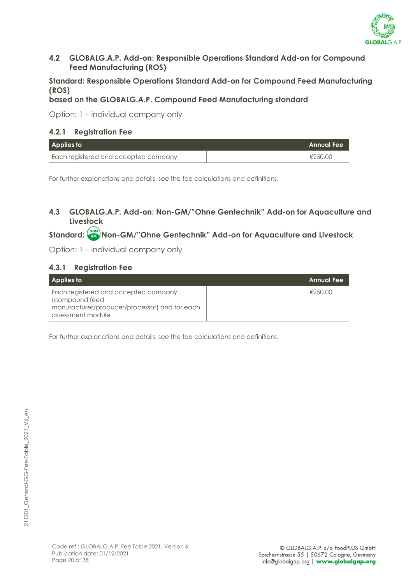

#### <span id="page-19-0"></span>**4.2 GLOBALG.A.P. Add-on: Responsible Operations Standard Add-on for Compound Feed Manufacturing (ROS)**

#### **Standard: Responsible Operations Standard Add-on for Compound Feed Manufacturing (ROS)**

#### **based on the GLOBALG.A.P. Compound Feed Manufacturing standard**

Option: 1 – individual company only

#### **4.2.1 Registration Fee**

| Applies to                           | <b>Annual Fee</b> |
|--------------------------------------|-------------------|
| Each registered and accepted company | €250.00           |

For further explanations and details, see the fee calculations and definitions.

#### <span id="page-19-1"></span>**4.3 GLOBALG.A.P. Add-on: Non-GM/"Ohne Gentechnik" Add-on for Aquaculture and Livestock**

### **Standard: Non-GM/"Ohne Gentechnik" Add-on for Aquaculture and Livestock**

Option: 1 – individual company only

#### **4.3.1 Registration Fee**

| <b>Applies to</b>                                                                                                             | <b>Annual Fee</b> |
|-------------------------------------------------------------------------------------------------------------------------------|-------------------|
| Each registered and accepted company<br>(compound feed)<br>manufacturer/producer/processor) and for each<br>assessment module | €250.00           |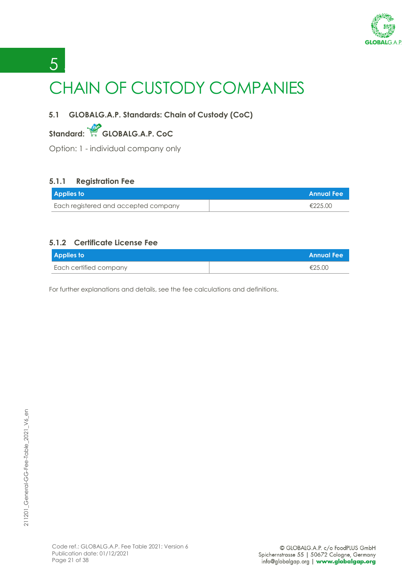

# <span id="page-20-0"></span>5 <sup>5</sup> CHAIN OF CUSTODY COMPANIES

### <span id="page-20-1"></span>**5.1 GLOBALG.A.P. Standards: Chain of Custody (CoC)**

### **Standard: GLOBALG.A.P. CoC**

Option: 1 - individual company only

#### **5.1.1 Registration Fee**

| <b>Applies to</b>                    | <b>Annual Fee</b> |
|--------------------------------------|-------------------|
| Each registered and accepted company | €225.00           |

#### **5.1.2 Certificate License Fee**

| <b>Applies to</b>      | <b>Annual Fee</b> |
|------------------------|-------------------|
| Each certified company | €25.00            |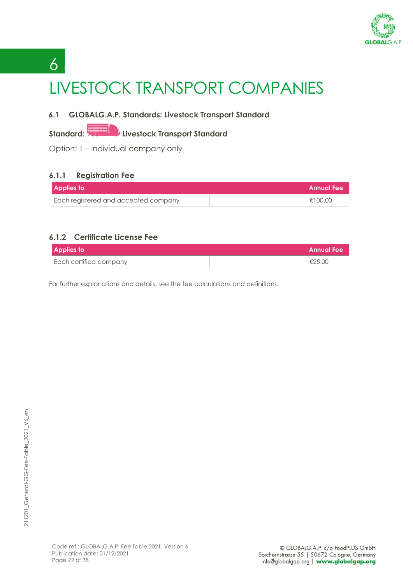

# <span id="page-21-0"></span>6 <sup>6</sup> LIVESTOCK TRANSPORT COMPANIES

#### <span id="page-21-1"></span>**6.1 GLOBALG.A.P. Standards: Livestock Transport Standard**

### **Standard:** Livestock Transport Standard

Option: 1 – individual company only

#### **6.1.1 Registration Fee**

| <b>Applies to</b>                    | LAnnual Fee ! |
|--------------------------------------|---------------|
| Each registered and accepted company | €100.00       |

#### **6.1.2 Certificate License Fee**

| <b>Applies to</b>      | L Annual Fee I |
|------------------------|----------------|
| Each certified company | €25.00         |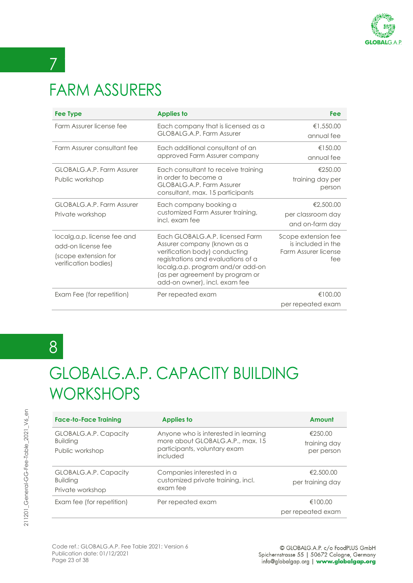

# <span id="page-22-0"></span>FARM ASSURERS

7 7

| <b>Fee Type</b>                                                                                   | <b>Applies to</b>                                                                                                                                                                                                                              | Fee                                                                      |
|---------------------------------------------------------------------------------------------------|------------------------------------------------------------------------------------------------------------------------------------------------------------------------------------------------------------------------------------------------|--------------------------------------------------------------------------|
| Farm Assurer license fee                                                                          | Each company that is licensed as a<br>GLOBALG.A.P. Farm Assurer                                                                                                                                                                                | €1,550.00<br>annual fee                                                  |
| Farm Assurer consultant fee                                                                       | Each additional consultant of an<br>approved Farm Assurer company                                                                                                                                                                              | €150.00<br>annual fee                                                    |
| GLOBALG.A.P. Farm Assurer<br>Public workshop                                                      | Each consultant to receive training<br>in order to become a<br>GLOBALG.A.P. Farm Assurer<br>consultant, max. 15 participants                                                                                                                   | €250.00<br>training day per<br>person                                    |
| GLOBALG.A.P. Farm Assurer<br>Private workshop                                                     | Each company booking a<br>customized Farm Assurer training,<br>incl. exam fee                                                                                                                                                                  | €2,500.00<br>per classroom day<br>and on-farm day                        |
| localg.a.p. license fee and<br>add-on license fee<br>(scope extension for<br>verification bodies) | Each GLOBALG.A.P. licensed Farm<br>Assurer company (known as a<br>verification body) conducting<br>registrations and evaluations of a<br>localg.a.p. program and/or add-on<br>(as per agreement by program or<br>add-on owner), incl. exam fee | Scope extension fee<br>is included in the<br>Farm Assurer license<br>fee |
| Exam Fee (for repetition)                                                                         | Per repeated exam                                                                                                                                                                                                                              | €100.00<br>per repeated exam                                             |

### 8 8

### <span id="page-22-1"></span>GLOBALG.A.P. CAPACITY BUILDING **WORKSHOPS**

| <b>Face-to-Face Training</b>                                 | <b>Applies to</b>                                                                                                    | Amount                                |
|--------------------------------------------------------------|----------------------------------------------------------------------------------------------------------------------|---------------------------------------|
| GLOBALG.A.P. Capacity<br><b>Building</b><br>Public workshop  | Anyone who is interested in learning<br>more about GLOBALG.A.P., max. 15<br>participants, voluntary exam<br>included | €250.00<br>training day<br>per person |
| GLOBALG.A.P. Capacity<br><b>Building</b><br>Private workshop | Companies interested in a<br>customized private training, incl.<br>exam fee                                          | €2,500.00<br>per training day         |
| Exam fee (for repetition)                                    | Per repeated exam                                                                                                    | €100.00<br>per repeated exam          |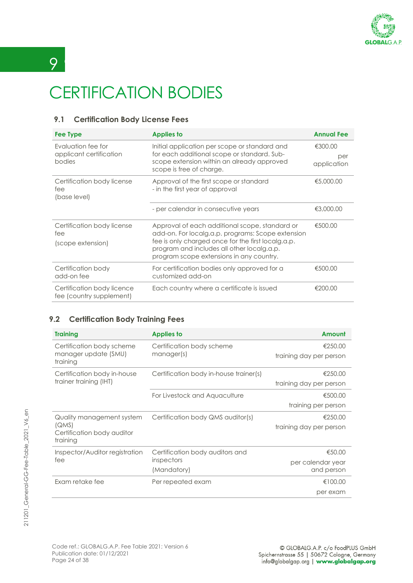

# <span id="page-23-0"></span>CERTIFICATION BODIES

#### <span id="page-23-1"></span>**9.1 Certification Body License Fees**

| Fee Type                                                | <b>Applies to</b>                                                                                                                                                                                                                                   | <b>Annual Fee</b>             |
|---------------------------------------------------------|-----------------------------------------------------------------------------------------------------------------------------------------------------------------------------------------------------------------------------------------------------|-------------------------------|
| Evaluation fee for<br>applicant certification<br>bodies | Initial application per scope or standard and<br>for each additional scope or standard. Sub-<br>scope extension within an already approved<br>scope is free of charge.                                                                              | €300.00<br>per<br>application |
| Certification body license<br>fee<br>(base level)       | Approval of the first scope or standard<br>- in the first year of approval                                                                                                                                                                          | €5,000,00                     |
|                                                         | - per calendar in consecutive years                                                                                                                                                                                                                 | €3,000.00                     |
| Certification body license<br>fee<br>(scope extension)  | Approval of each additional scope, standard or<br>add-on. For localg.a.p. programs: Scope extension<br>fee is only charged once for the first localg.a.p.<br>program and includes all other localg.a.p.<br>program scope extensions in any country. | €500.00                       |
| Certification body<br>add-on fee                        | For certification bodies only approved for a<br>customized add-on                                                                                                                                                                                   | €500.00                       |
| Certification body licence<br>fee (country supplement)  | Each country where a certificate is issued                                                                                                                                                                                                          | €200.00                       |

#### <span id="page-23-2"></span>**9.2 Certification Body Training Fees**

| <b>Training</b>                        | <b>Applies to</b>                      | Amount                  |
|----------------------------------------|----------------------------------------|-------------------------|
| Certification body scheme              | Certification body scheme              | €250.00                 |
| manager update (SMU)<br>training       | manager(s)                             | training day per person |
| Certification body in-house            | Certification body in-house trainer(s) | €250.00                 |
| trainer training (IHT)                 |                                        | training day per person |
|                                        | For Livestock and Aquaculture          | €500.00                 |
|                                        |                                        | training per person     |
| Quality management system              | Certification body QMS auditor(s)      | €250.00                 |
| (QMS)                                  |                                        | training day per person |
| Certification body auditor<br>training |                                        |                         |
| Inspector/Auditor registration         | Certification body auditors and        | €50.00                  |
| fee                                    | inspectors                             | per calendar year       |
|                                        | (Mandatory)                            | and person              |
| Exam retake fee                        | Per repeated exam                      | €100.00                 |
|                                        |                                        | per exam                |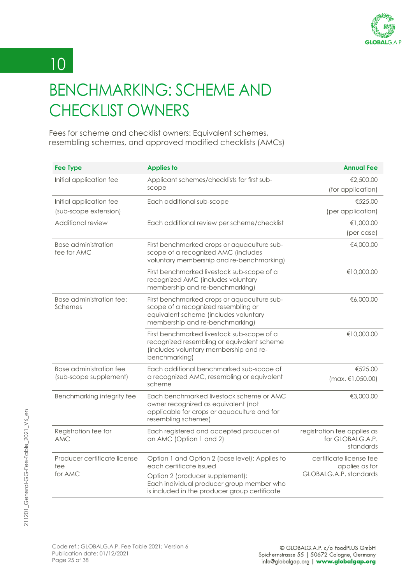

# 10 10

## <span id="page-24-0"></span>BENCHMARKING: SCHEME AND CHECKLIST OWNERS

Fees for scheme and checklist owners: Equivalent schemes, resembling schemes, and approved modified checklists (AMCs)

| <b>Fee Type</b>                                   | <b>Applies to</b>                                                                                                                                                                                          | <b>Annual Fee</b>                                                   |
|---------------------------------------------------|------------------------------------------------------------------------------------------------------------------------------------------------------------------------------------------------------------|---------------------------------------------------------------------|
| Initial application fee                           | Applicant schemes/checklists for first sub-<br>scope                                                                                                                                                       | €2,500.00<br>(for application)                                      |
| Initial application fee<br>(sub-scope extension)  | Each additional sub-scope                                                                                                                                                                                  | €525.00<br>(per application)                                        |
| Additional review                                 | Each additional review per scheme/checklist                                                                                                                                                                | €1,000.00<br>(per case)                                             |
| <b>Base administration</b><br>fee for AMC         | First benchmarked crops or aquaculture sub-<br>scope of a recognized AMC (includes<br>voluntary membership and re-benchmarking)                                                                            | €4,000.00                                                           |
|                                                   | First benchmarked livestock sub-scope of a<br>recognized AMC (includes voluntary<br>membership and re-benchmarking)                                                                                        | €10,000.00                                                          |
| Base administration fee:<br>Schemes               | First benchmarked crops or aquaculture sub-<br>scope of a recognized resembling or<br>equivalent scheme (includes voluntary<br>membership and re-benchmarking)                                             | €6,000.00                                                           |
|                                                   | First benchmarked livestock sub-scope of a<br>recognized resembling or equivalent scheme<br>(includes voluntary membership and re-<br>benchmarking)                                                        | €10,000.00                                                          |
| Base administration fee<br>(sub-scope supplement) | Each additional benchmarked sub-scope of<br>a recognized AMC, resembling or equivalent<br>scheme                                                                                                           | €525.00<br>$(max, \in 1,050.00)$                                    |
| Benchmarking integrity fee                        | Each benchmarked livestock scheme or AMC<br>owner recognized as equivalent (not<br>applicable for crops or aquaculture and for<br>resembling schemes)                                                      | €3,000.00                                                           |
| Registration fee for<br><b>AMC</b>                | Each registered and accepted producer of<br>an AMC (Option 1 and 2)                                                                                                                                        | registration fee applies as<br>for GLOBALG.A.P.<br>standards        |
| Producer certificate license<br>fee<br>for AMC    | Option 1 and Option 2 (base level): Applies to<br>each certificate issued<br>Option 2 (producer supplement):<br>Each individual producer group member who<br>is included in the producer group certificate | certificate license fee<br>applies as for<br>GLOBALG.A.P. standards |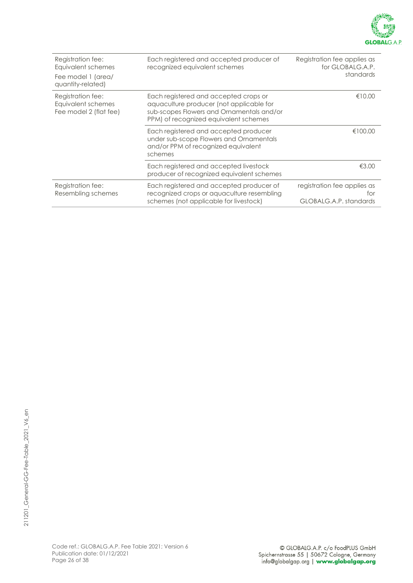

| Registration fee:<br>Equivalent schemes<br>Fee model 1 (area/<br>quantity-related) | Each registered and accepted producer of<br>recognized equivalent schemes                                                                                               | Registration fee applies as<br>for GLOBALG.A.P.<br>standards |
|------------------------------------------------------------------------------------|-------------------------------------------------------------------------------------------------------------------------------------------------------------------------|--------------------------------------------------------------|
| Registration fee:<br>Equivalent schemes<br>Fee model 2 (flat fee)                  | Each registered and accepted crops or<br>aquaculture producer (not applicable for<br>sub-scopes Flowers and Ornamentals and/or<br>PPM) of recognized equivalent schemes | €10.00                                                       |
|                                                                                    | Each registered and accepted producer<br>under sub-scope Flowers and Ornamentals<br>and/or PPM of recognized equivalent<br>schemes                                      | €100.00                                                      |
|                                                                                    | Each registered and accepted livestock<br>producer of recognized equivalent schemes                                                                                     | €3.00                                                        |
| Registration fee:<br>Resembling schemes                                            | Each registered and accepted producer of<br>recognized crops or aquaculture resembling<br>schemes (not applicable for livestock)                                        | registration fee applies as<br>for<br>GLOBALG.A.P. standards |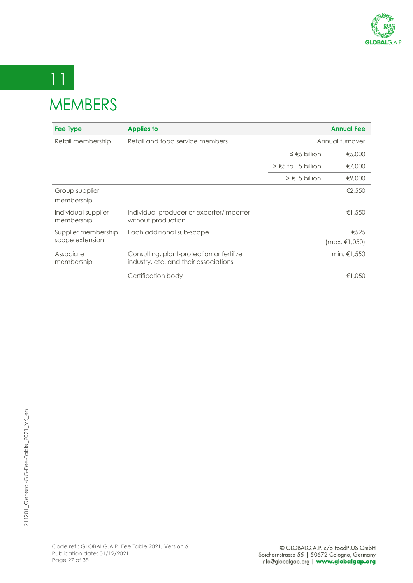

### 11 **MEMARERS**

<span id="page-26-0"></span>

| <i>IVILIVIDLINJ</i> |                                 |                               |                   |
|---------------------|---------------------------------|-------------------------------|-------------------|
| Fee Type            | <b>Applies to</b>               |                               | <b>Annual Fee</b> |
| Retail membership   | Retail and food service members |                               | Annual turnover   |
|                     |                                 | ≤ $€5$ billion                | €5,000            |
|                     |                                 | $\geq$ $\leq$ 5 to 15 billion | €7,000            |
|                     |                                 |                               |                   |

|                                        |                                                                                     | $\geq$ $\leq$ 5 to 15 billion | €7,000                |
|----------------------------------------|-------------------------------------------------------------------------------------|-------------------------------|-----------------------|
|                                        |                                                                                     | $> \epsilon$ 15 billion       | €9,000                |
| Group supplier<br>membership           |                                                                                     |                               | €2,550                |
| Individual supplier<br>membership      | Individual producer or exporter/importer<br>without production                      |                               | €1,550                |
| Supplier membership<br>scope extension | Each additional sub-scope                                                           |                               | €525<br>(max, €1,050) |
| Associate<br>membership                | Consulting, plant-protection or fertilizer<br>industry, etc. and their associations |                               | min. $€1.550$         |
|                                        | Certification body                                                                  |                               | €1,050                |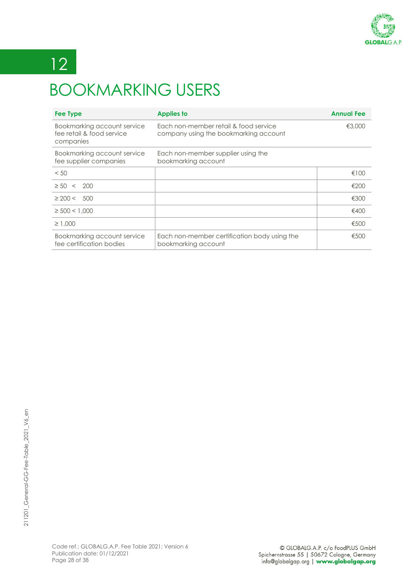

# 12 12

## <span id="page-27-0"></span>BOOKMARKING USERS

| <b>Fee Type</b>                                                       | <b>Applies to</b>                                                              | <b>Annual Fee</b> |
|-----------------------------------------------------------------------|--------------------------------------------------------------------------------|-------------------|
| Bookmarking account service<br>fee retail & food service<br>companies | Each non-member retail & food service<br>company using the bookmarking account | €3,000            |
| Bookmarking account service<br>fee supplier companies                 | Each non-member supplier using the<br>bookmarking account                      |                   |
| < 50                                                                  |                                                                                | €100              |
| $\geq 50 \lt 200$                                                     |                                                                                | €200              |
| $\geq 200 < 500$                                                      |                                                                                | €300              |
| $\geq$ 500 < 1.000                                                    |                                                                                | €400              |
| $\geq 1.000$                                                          |                                                                                | €500              |
| Bookmarking account service<br>fee certification bodies               | Each non-member certification body using the<br>bookmarking account            | €500              |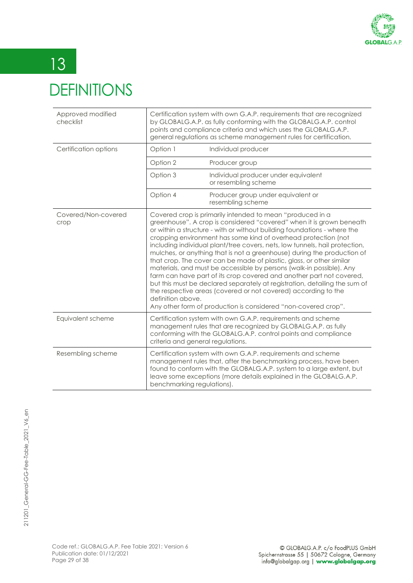

# <span id="page-28-0"></span>13 DEFINITIONS

| Approved modified<br>checklist | Certification system with own G.A.P. requirements that are recognized<br>by GLOBALG.A.P. as fully conforming with the GLOBALG.A.P. control<br>points and compliance criteria and which uses the GLOBALG.A.P.<br>general regulations as scheme management rules for certification. |                                                                                                                                                                                                                                                                                                                                                                                                                                                                                                                                                                                                                                                                                                                                                                                                                                                                                     |
|--------------------------------|-----------------------------------------------------------------------------------------------------------------------------------------------------------------------------------------------------------------------------------------------------------------------------------|-------------------------------------------------------------------------------------------------------------------------------------------------------------------------------------------------------------------------------------------------------------------------------------------------------------------------------------------------------------------------------------------------------------------------------------------------------------------------------------------------------------------------------------------------------------------------------------------------------------------------------------------------------------------------------------------------------------------------------------------------------------------------------------------------------------------------------------------------------------------------------------|
| Certification options          | Option 1                                                                                                                                                                                                                                                                          | Individual producer                                                                                                                                                                                                                                                                                                                                                                                                                                                                                                                                                                                                                                                                                                                                                                                                                                                                 |
|                                | Option 2                                                                                                                                                                                                                                                                          | Producer group                                                                                                                                                                                                                                                                                                                                                                                                                                                                                                                                                                                                                                                                                                                                                                                                                                                                      |
|                                | Option 3                                                                                                                                                                                                                                                                          | Individual producer under equivalent<br>or resembling scheme                                                                                                                                                                                                                                                                                                                                                                                                                                                                                                                                                                                                                                                                                                                                                                                                                        |
|                                | Option 4                                                                                                                                                                                                                                                                          | Producer group under equivalent or<br>resembling scheme                                                                                                                                                                                                                                                                                                                                                                                                                                                                                                                                                                                                                                                                                                                                                                                                                             |
| Covered/Non-covered<br>crop    | definition above.                                                                                                                                                                                                                                                                 | Covered crop is primarily intended to mean "produced in a<br>greenhouse". A crop is considered "covered" when it is grown beneath<br>or within a structure - with or without building foundations - where the<br>cropping environment has some kind of overhead protection (not<br>including individual plant/tree covers, nets, low tunnels, hail protection,<br>mulches, or anything that is not a greenhouse) during the production of<br>that crop. The cover can be made of plastic, glass, or other similar<br>materials, and must be accessible by persons (walk-in possible). Any<br>farm can have part of its crop covered and another part not covered,<br>but this must be declared separately at registration, detailing the sum of<br>the respective areas (covered or not covered) according to the<br>Any other form of production is considered "non-covered crop". |
| Equivalent scheme              | criteria and general regulations.                                                                                                                                                                                                                                                 | Certification system with own G.A.P. requirements and scheme<br>management rules that are recognized by GLOBALG.A.P. as fully<br>conforming with the GLOBALG.A.P. control points and compliance                                                                                                                                                                                                                                                                                                                                                                                                                                                                                                                                                                                                                                                                                     |
| Resembling scheme              | benchmarking regulations).                                                                                                                                                                                                                                                        | Certification system with own G.A.P. requirements and scheme<br>management rules that, after the benchmarking process, have been<br>found to conform with the GLOBALG.A.P. system to a large extent, but<br>leave some exceptions (more details explained in the GLOBALG.A.P.                                                                                                                                                                                                                                                                                                                                                                                                                                                                                                                                                                                                       |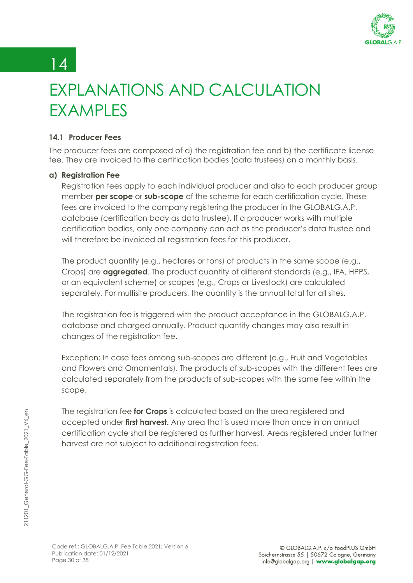

### 14

## <span id="page-29-0"></span>EXPLANATIONS AND CALCULATION **FXAMPLES**

#### <span id="page-29-1"></span>**14.1 Producer Fees**

The producer fees are composed of a) the registration fee and b) the certificate license fee. They are invoiced to the certification bodies (data trustees) on a monthly basis.

#### **a) Registration Fee**

Registration fees apply to each individual producer and also to each producer group member **per scope** or **sub-scope** of the scheme for each certification cycle. These fees are invoiced to the company registering the producer in the GLOBALG.A.P. database (certification body as data trustee). If a producer works with multiple certification bodies, only one company can act as the producer's data trustee and will therefore be invoiced all registration fees for this producer.

The product quantity (e.g., hectares or tons) of products in the same scope (e.g., Crops) are **aggregated**. The product quantity of different standards (e.g., IFA, HPPS, or an equivalent scheme) or scopes (e.g., Crops or Livestock) are calculated separately. For multisite producers, the quantity is the annual total for all sites.

The registration fee is triggered with the product acceptance in the GLOBALG.A.P. database and charged annually. Product quantity changes may also result in changes of the registration fee.

Exception: In case fees among sub-scopes are different (e.g., Fruit and Vegetables and Flowers and Ornamentals). The products of sub-scopes with the different fees are calculated separately from the products of sub-scopes with the same fee within the scope.

The registration fee **for Crops** is calculated based on the area registered and accepted under **first harvest.** Any area that is used more than once in an annual certification cycle shall be registered as further harvest. Areas registered under further harvest are not subject to additional registration fees.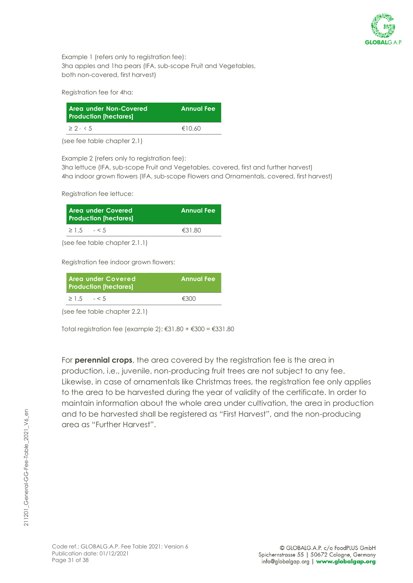

Example 1 (refers only to registration fee): 3ha apples and 1ha pears (IFA, sub-scope Fruit and Vegetables, both non-covered, first harvest)

Registration fee for 4ha:

| Area under Non-Covered<br><b>Production [hectares]</b> | <b>Annual Fee</b> |
|--------------------------------------------------------|-------------------|
| $\geq 2 - 5$                                           | €10.60            |

(see fee table chapter 2.1)

Example 2 (refers only to registration fee):

3ha lettuce (IFA, sub-scope Fruit and Vegetables, covered, first and further harvest) 4ha indoor grown flowers (IFA, sub-scope Flowers and Ornamentals, covered, first harvest)

Registration fee lettuce:

| <b>Area under Covered</b><br><b>Production [hectares]</b> | <b>Annual Fee</b> |
|-----------------------------------------------------------|-------------------|
| $\geq 1.5$ $- < 5$                                        | €31.80            |
|                                                           |                   |

(see fee table chapter 2.1.1)

Registration fee indoor grown flowers:

| l Area under Covered<br><b>Production [hectares]</b> |  | <b>Annual Fee</b> |  |
|------------------------------------------------------|--|-------------------|--|
| $\geq 1.5$ $- < 5$                                   |  | €300              |  |

(see fee table chapter 2.2.1)

Total registration fee (example  $2$ ): €31.80 + €300 = €331.80

For **perennial crops**, the area covered by the registration fee is the area in production, i.e., juvenile, non-producing fruit trees are not subject to any fee. Likewise, in case of ornamentals like Christmas trees, the registration fee only applies to the area to be harvested during the year of validity of the certificate. In order to maintain information about the whole area under cultivation, the area in production and to be harvested shall be registered as "First Harvest", and the non-producing area as "Further Harvest".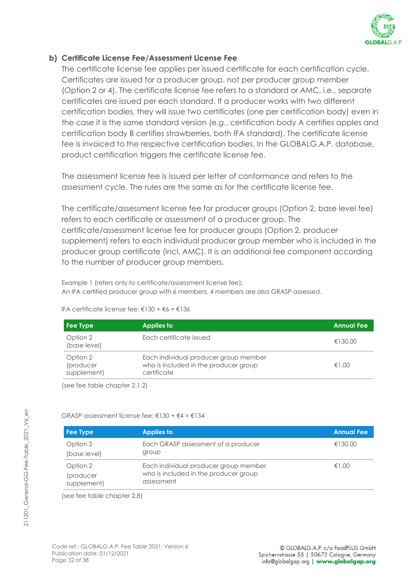

#### **b) Certificate License Fee/Assessment License Fee**

The certificate license fee applies per issued certificate for each certification cycle. Certificates are issued for a producer group, not per producer group member (Option 2 or 4). The certificate license fee refers to a standard or AMC, i.e., separate certificates are issued per each standard. If a producer works with two different certification bodies, they will issue two certificates (one per certification body) even in the case it is the same standard version (e.g., certification body A certifies apples and certification body B certifies strawberries, both IFA standard). The certificate license fee is invoiced to the respective certification bodies. In the GLOBALG.A.P. database, product certification triggers the certificate license fee.

The assessment license fee is issued per letter of conformance and refers to the assessment cycle. The rules are the same as for the certificate license fee.

The certificate/assessment license fee for producer groups (Option 2, base level fee) refers to each certificate or assessment of a producer group. The certificate/assessment license fee for producer groups (Option 2, producer supplement) refers to each individual producer group member who is included in the producer group certificate (incl. AMC). It is an additional fee component according to the number of producer group members.

Example 1 (refers only to certificate/assessment license fee): An IFA certified producer group with 6 members. 4 members are also GRASP assessed.

#### IFA certificate license fee: €130 + €6 = €136

GRASP assessment license fee:  $\epsilon$ 130 +  $\epsilon$ 4 =  $\epsilon$ 134

| Fee Type                             | Applies to                                                                                    | <b>Annual Fee</b> |
|--------------------------------------|-----------------------------------------------------------------------------------------------|-------------------|
| Option 2<br>(base level)             | Each certificate issued                                                                       | €130.00           |
| Option 2<br>(producer<br>supplement) | Each individual producer group member<br>who is included in the producer group<br>certificate | €1.00             |

(see fee table chapter 2.1.2)

| Fee Type                 | <b>Applies to</b>                                   | <b>Annual Fee</b> |
|--------------------------|-----------------------------------------------------|-------------------|
| Option 2                 | Each GRASP assessment of a producer                 | €130.00           |
| (base level)             | group                                               |                   |
| Option 2                 | Each individual producer group member               | €1.00             |
| (producer<br>supplement) | who is included in the producer group<br>assessment |                   |

(see fee table chapter 2.8)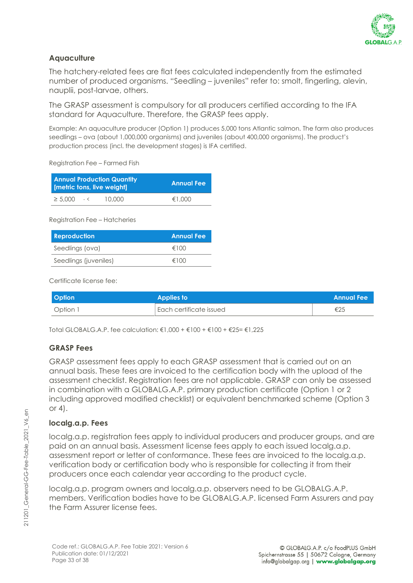

#### **Aquaculture**

The hatchery-related fees are flat fees calculated independently from the estimated number of produced organisms. "Seedling – juveniles" refer to: smolt, fingerling, alevin, nauplii, post-larvae, others.

The GRASP assessment is compulsory for all producers certified according to the IFA standard for Aquaculture. Therefore, the GRASP fees apply.

Example: An aquaculture producer (Option 1) produces 5,000 tons Atlantic salmon. The farm also produces seedlings – ova (about 1,000,000 organisms) and juveniles (about 400,000 organisms). The product's production process (incl. the development stages) is IFA certified.

Registration Fee – Farmed Fish

| <b>Annual Production Quantity</b><br>[metric tons, live weight] |      | <b>Annual Fee</b> |        |
|-----------------------------------------------------------------|------|-------------------|--------|
| $\geq 5.000$                                                    | $-<$ | 10.000            | €1.000 |

Registration Fee – Hatcheries

| <b>Reproduction</b>   | <b>Annual Fee</b> |
|-----------------------|-------------------|
| Seedlings (ova)       | €100              |
| Seedlings (juveniles) | €100              |

Certificate license fee:

| <b>Option</b> | <b>Applies to</b>         | <b>Annual Fee</b> |
|---------------|---------------------------|-------------------|
| Option 1      | l Each certificate issued | €25               |

Total GLOBALG.A.P. fee calculation: €1,000 + €100 + €100 + €25= €1,225

#### **GRASP Fees**

GRASP assessment fees apply to each GRASP assessment that is carried out on an annual basis. These fees are invoiced to the certification body with the upload of the assessment checklist. Registration fees are not applicable. GRASP can only be assessed in combination with a GLOBALG.A.P. primary production certificate (Option 1 or 2 including approved modified checklist) or equivalent benchmarked scheme (Option 3 or  $4$ ).

#### **localg.a.p. Fees**

localg.a.p. registration fees apply to individual producers and producer groups, and are paid on an annual basis. Assessment license fees apply to each issued localg.a.p. assessment report or letter of conformance. These fees are invoiced to the localg.a.p. verification body or certification body who is responsible for collecting it from their producers once each calendar year according to the product cycle.

localg.a.p. program owners and localg.a.p. observers need to be GLOBALG.A.P. members. Verification bodies have to be GLOBALG.A.P. licensed Farm Assurers and pay the Farm Assurer license fees.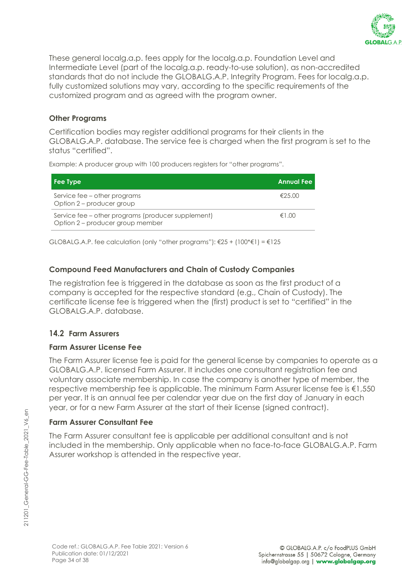

These general localg.a.p. fees apply for the localg.a.p. Foundation Level and Intermediate Level (part of the localg.a.p. ready-to-use solution), as non-accredited standards that do not include the GLOBALG.A.P. Integrity Program. Fees for localg.a.p. fully customized solutions may vary, according to the specific requirements of the customized program and as agreed with the program owner.

#### **Other Programs**

Certification bodies may register additional programs for their clients in the GLOBALG.A.P. database. The service fee is charged when the first program is set to the status "certified".

Example: A producer group with 100 producers registers for "other programs".

| Fee Type                                                                               | Annual Fee ' |
|----------------------------------------------------------------------------------------|--------------|
| Service fee – other programs<br>Option 2 - producer group                              | €25.00       |
| Service fee – other programs (producer supplement)<br>Option 2 - producer group member | $f \in 1.00$ |

GLOBALG.A.P. fee calculation (only "other programs"):  $\epsilon$ 25 + (100\* $\epsilon$ 1) =  $\epsilon$ 125

#### **Compound Feed Manufacturers and Chain of Custody Companies**

The registration fee is triggered in the database as soon as the first product of a company is accepted for the respective standard (e.g., Chain of Custody). The certificate license fee is triggered when the (first) product is set to "certified" in the GLOBALG.A.P. database.

#### <span id="page-33-0"></span>**14.2 Farm Assurers**

#### **Farm Assurer License Fee**

The Farm Assurer license fee is paid for the general license by companies to operate as a GLOBALG.A.P. licensed Farm Assurer. It includes one consultant registration fee and voluntary associate membership. In case the company is another type of member, the respective membership fee is applicable. The minimum Farm Assurer license fee is €1,550 per year. It is an annual fee per calendar year due on the first day of January in each year, or for a new Farm Assurer at the start of their license (signed contract).

#### **Farm Assurer Consultant Fee**

The Farm Assurer consultant fee is applicable per additional consultant and is not included in the membership. Only applicable when no face-to-face GLOBALG.A.P. Farm Assurer workshop is attended in the respective year.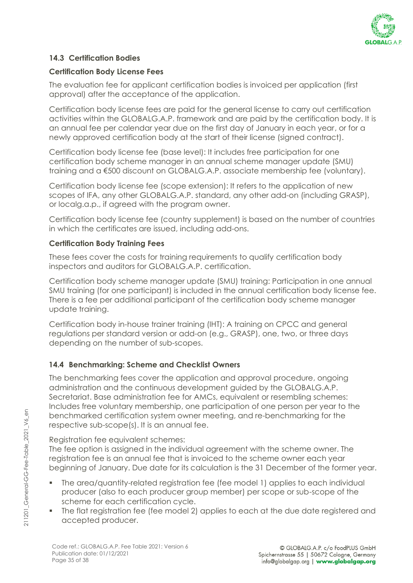

#### <span id="page-34-0"></span>**14.3 Certification Bodies**

#### **[Certification Body License Fees](#page-23-1)**

The evaluation fee for applicant certification bodies is invoiced per application (first approval) after the acceptance of the application.

Certification body license fees are paid for the general license to carry out certification activities within the GLOBALG.A.P. framework and are paid by the certification body. It is an annual fee per calendar year due on the first day of January in each year, or for a newly approved certification body at the start of their license (signed contract).

Certification body license fee (base level): It includes free participation for one certification body scheme manager in an annual scheme manager update (SMU) training and a €500 discount on GLOBALG.A.P. associate membership fee (voluntary).

Certification body license fee (scope extension): It refers to the application of new scopes of IFA, any other GLOBALG.A.P. standard, any other add-on (including GRASP), or localg.a.p., if agreed with the program owner.

Certification body license fee (country supplement) is based on the number of countries in which the certificates are issued, including add-ons.

#### **[Certification Body Training Fees](#page-23-2)**

These fees cover the costs for training requirements to qualify certification body inspectors and auditors for GLOBALG.A.P. certification.

Certification body scheme manager update (SMU) training: Participation in one annual SMU training (for one participant) is included in the annual certification body license fee. There is a fee per additional participant of the certification body scheme manager update training.

Certification body in-house trainer training (IHT): A training on CPCC and general regulations per standard version or add-on (e.g., GRASP), one, two, or three days depending on the number of sub-scopes.

#### <span id="page-34-1"></span>**14.4 Benchmarking: Scheme and Checklist Owners**

The benchmarking fees cover the application and approval procedure, ongoing administration and the continuous development guided by the GLOBALG.A.P. Secretariat. Base administration fee for AMCs, equivalent or resembling schemes: Includes free voluntary membership, one participation of one person per year to the benchmarked certification system owner meeting, and re-benchmarking for the respective sub-scope(s). It is an annual fee.

Registration fee equivalent schemes:

The fee option is assigned in the individual agreement with the scheme owner. The registration fee is an annual fee that is invoiced to the scheme owner each year beginning of January. Due date for its calculation is the 31 December of the former year.

- The area/quantity-related registration fee (fee model 1) applies to each individual producer (also to each producer group member) per scope or sub-scope of the scheme for each certification cycle.
- The flat registration fee (fee model 2) applies to each at the due date registered and accepted producer.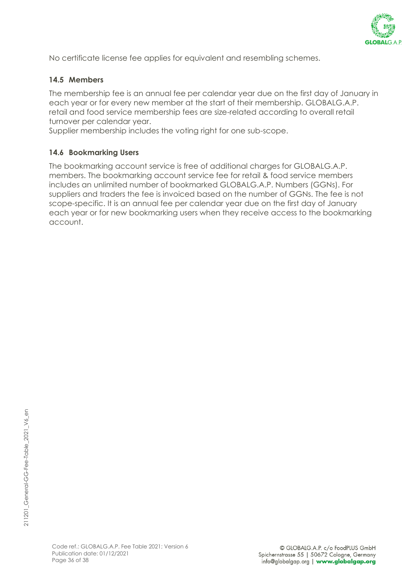

No certificate license fee applies for equivalent and resembling schemes.

#### <span id="page-35-0"></span>**14.5 Members**

The membership fee is an annual fee per calendar year due on the first day of January in each year or for every new member at the start of their membership. GLOBALG.A.P. retail and food service membership fees are size-related according to overall retail turnover per calendar year.

Supplier membership includes the voting right for one sub-scope.

#### <span id="page-35-1"></span>**14.6 Bookmarking Users**

The bookmarking account service is free of additional charges for GLOBALG.A.P. members. The bookmarking account service fee for retail & food service members includes an unlimited number of bookmarked GLOBALG.A.P. Numbers (GGNs). For suppliers and traders the fee is invoiced based on the number of GGNs. The fee is not scope-specific. It is an annual fee per calendar year due on the first day of January each year or for new bookmarking users when they receive access to the bookmarking account.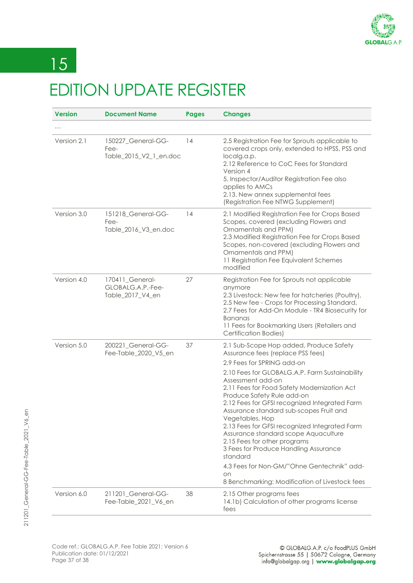

# <span id="page-36-0"></span> $\sqrt{15}$ EDITION UPDATE REGISTER

| <b>Version</b> | <b>Document Name</b>                                     | <b>Pages</b> | <b>Changes</b>                                                                                                                                                                                                                                                                                                                                                                                                                                                                                                                                                                                                                                                    |
|----------------|----------------------------------------------------------|--------------|-------------------------------------------------------------------------------------------------------------------------------------------------------------------------------------------------------------------------------------------------------------------------------------------------------------------------------------------------------------------------------------------------------------------------------------------------------------------------------------------------------------------------------------------------------------------------------------------------------------------------------------------------------------------|
|                |                                                          |              |                                                                                                                                                                                                                                                                                                                                                                                                                                                                                                                                                                                                                                                                   |
| Version 2.1    | 150227_General-GG-<br>Fee-<br>Table_2015_V2_1_en.doc     | 14           | 2.5 Registration Fee for Sprouts applicable to<br>covered crops only, extended to HPSS, PSS and<br>localg.a.p.<br>2.12 Reference to CoC Fees for Standard<br>Version 4<br>5. Inspector/Auditor Registration Fee also<br>applies to AMCs<br>2.13. New annex supplemental fees<br>(Registration Fee NTWG Supplement)                                                                                                                                                                                                                                                                                                                                                |
| Version 3.0    | 151218_General-GG-<br>Fee-<br>Table_2016_V3_en.doc       | 14           | 2.1 Modified Registration Fee for Crops Based<br>Scopes, covered (excluding Flowers and<br>Ornamentals and PPM)<br>2.3 Modified Registration Fee for Crops Based<br>Scopes, non-covered (excluding Flowers and<br>Ornamentals and PPM)<br>11 Registration Fee Equivalent Schemes<br>modified                                                                                                                                                                                                                                                                                                                                                                      |
| Version 4.0    | 170411_General-<br>GLOBALG.A.P.-Fee-<br>Table_2017_V4_en | 27           | Registration Fee for Sprouts not applicable<br>anymore<br>2.3 Livestock: New fee for hatcheries (Poultry),<br>2.5 New fee - Crops for Processing Standard,<br>2.7 Fees for Add-On Module - TR4 Biosecurity for<br><b>Bananas</b><br>11 Fees for Bookmarking Users (Retailers and<br><b>Certification Bodies)</b>                                                                                                                                                                                                                                                                                                                                                  |
| Version 5.0    | 200221_General-GG-<br>Fee-Table_2020_V5_en               | 37           | 2.1 Sub-Scope Hop added, Produce Safety<br>Assurance fees (replace PSS fees)<br>2.9 Fees for SPRING add-on<br>2.10 Fees for GLOBALG.A.P. Farm Sustainability<br>Assessment add-on<br>2.11 Fees for Food Safety Modernization Act<br>Produce Safety Rule add-on<br>2.12 Fees for GFSI recognized Integrated Farm<br>Assurance standard sub-scopes Fruit and<br>Vegetables, Hop<br>2.13 Fees for GFSI recognized Integrated Farm<br>Assurance standard scope Aquaculture<br>2.15 Fees for other programs<br>3 Fees for Produce Handling Assurance<br>standard<br>4.3 Fees for Non-GM/"Ohne Gentechnik" add-<br>on<br>8 Benchmarking: Modification of Livestock fees |
| Version 6.0    | 211201_General-GG-<br>Fee-Table_2021_V6_en               | 38           | 2.15 Other programs fees<br>14.1b) Calculation of other programs license<br>fees                                                                                                                                                                                                                                                                                                                                                                                                                                                                                                                                                                                  |